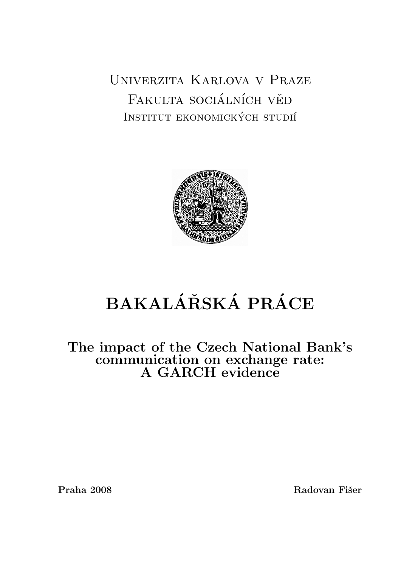Univerzita Karlova v Praze FAKULTA SOCIÁLNÍCH VĚD INSTITUT EKONOMICKÝCH STUDIÍ



# BAKALÁŘSKÁ PRÁCE

The impact of the Czech National Bank's communication on exchange rate: A GARCH evidence

Praha 2008 Radovan Fišer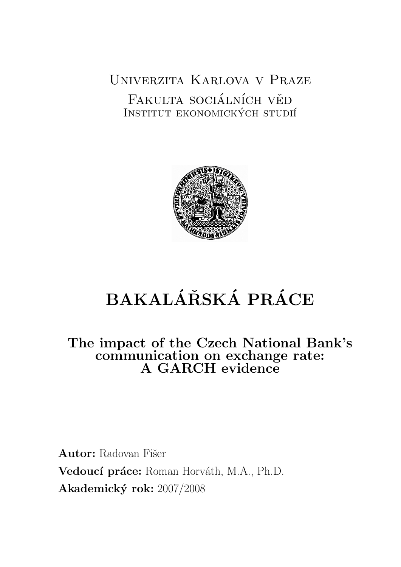Univerzita Karlova v Praze FAKULTA SOCIÁLNÍCH VĚD INSTITUT EKONOMICKÝCH STUDIÍ



# BAKALÁŘSKÁ PRÁCE

The impact of the Czech National Bank's communication on exchange rate: A GARCH evidence

Autor: Radovan Fišer Vedoucí práce: Roman Horváth, M.A., Ph.D. Akademický rok: 2007/2008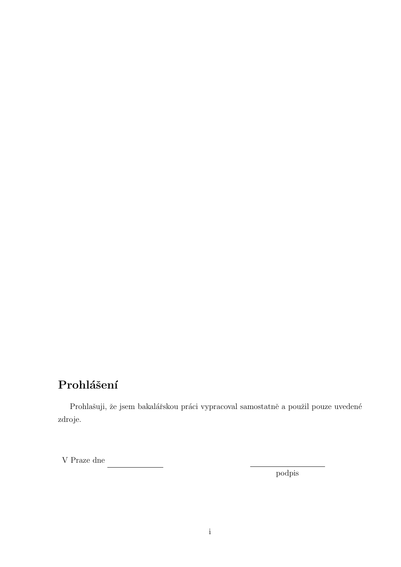## Prohlášení

Prohlašuji, že jsem bakalářskou práci vypracoval samostatně a použil pouze uvedené zdroje.

V Praze dne

podpis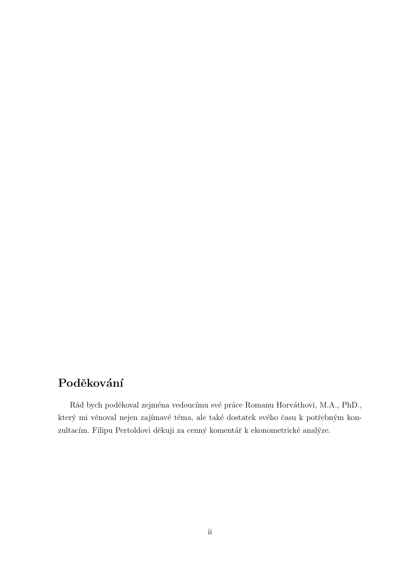## Poděkování

Rád bych poděkoval zejména vedoucímu své práce Romanu Horváthovi, M.A., PhD., který mi věnoval nejen zajímavé téma, ale také dostatek svého času k potřebným konzultacím. Filipu Pertoldovi děkuji za cenný komentář k ekonometrické analýze.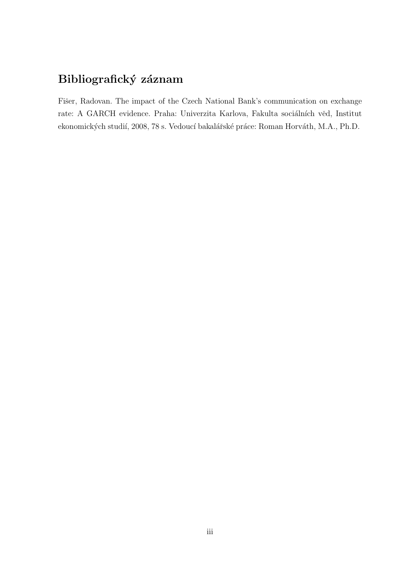## Bibliografický záznam

Fišer, Radovan. The impact of the Czech National Bank's communication on exchange rate: A GARCH evidence. Praha: Univerzita Karlova, Fakulta sociálních věd, Institut ekonomických studií, 2008, 78 s. Vedoucí bakalářské práce: Roman Horváth, M.A., Ph.D.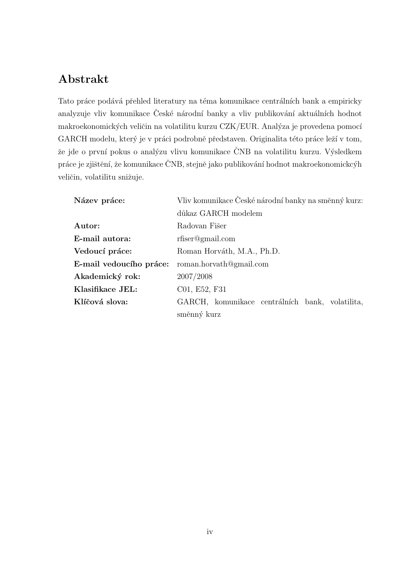## Abstrakt

Tato práce podává přehled literatury na téma komunikace centrálních bank a empiricky analyzuje vliv komunikace České národní banky a vliv publikování aktuálních hodnot makroekonomických veličin na volatilitu kurzu CZK/EUR. Analýza je provedena pomocí GARCH modelu, který je v práci podrobně představen. Originalita této práce leží v tom, že jde o první pokus o analýzu vlivu komunikace ČNB na volatilitu kurzu. Výsledkem práce je zjištění, že komunikace ČNB, stejně jako publikování hodnot makroekonomickcýh veličin, volatilitu snižuje.

| Název práce:            | Vliv komunikace České národní banky na směnný kurz: |
|-------------------------|-----------------------------------------------------|
|                         | důkaz GARCH modelem                                 |
| Autor:                  | Radovan Fišer                                       |
| E-mail autora:          | $r$ fiser@gmail.com                                 |
| Vedoucí práce:          | Roman Horváth, M.A., Ph.D.                          |
| E-mail vedoucího práce: | roman.horvath@gmail.com                             |
| Akademický rok:         | 2007/2008                                           |
| Klasifikace JEL:        | C01, E52, F31                                       |
| Klíčová slova:          | GARCH, komunikace centrálních bank, volatilita,     |
|                         | směnný kurz                                         |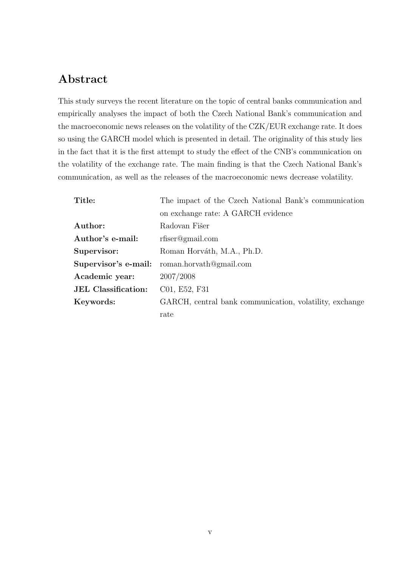## Abstract

This study surveys the recent literature on the topic of central banks communication and empirically analyses the impact of both the Czech National Bank's communication and the macroeconomic news releases on the volatility of the CZK/EUR exchange rate. It does so using the GARCH model which is presented in detail. The originality of this study lies in the fact that it is the first attempt to study the effect of the CNB's communication on the volatility of the exchange rate. The main finding is that the Czech National Bank's communication, as well as the releases of the macroeconomic news decrease volatility.

| Title:                     | The impact of the Czech National Bank's communication   |
|----------------------------|---------------------------------------------------------|
|                            | on exchange rate: A GARCH evidence                      |
| Author:                    | Radovan Fišer                                           |
| Author's e-mail:           | $r$ fiser@gmail.com                                     |
| Supervisor:                | Roman Horváth, M.A., Ph.D.                              |
| Supervisor's e-mail:       | roman.horvath@gmail.com                                 |
| Academic year:             | 2007/2008                                               |
| <b>JEL</b> Classification: | C01, E52, F31                                           |
| Keywords:                  | GARCH, central bank communication, volatility, exchange |
|                            | rate                                                    |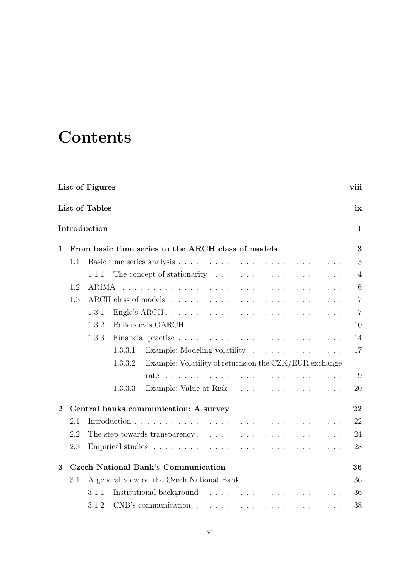# **Contents**

<span id="page-7-0"></span>

|          | List of Figures |                | viii    |                                                                                 |                |
|----------|-----------------|----------------|---------|---------------------------------------------------------------------------------|----------------|
|          |                 | List of Tables |         |                                                                                 | ix             |
|          |                 | Introduction   |         |                                                                                 | 1              |
| 1        |                 |                |         | From basic time series to the ARCH class of models                              | 3              |
|          | 1.1             |                |         |                                                                                 | 3              |
|          |                 | 1.1.1          |         |                                                                                 | $\overline{4}$ |
|          | 1.2             | ARIMA          |         |                                                                                 | 6              |
|          | 1.3             |                |         |                                                                                 | $\overline{7}$ |
|          |                 | 1.3.1          |         | Engle's ARCH                                                                    | $\overline{7}$ |
|          |                 | 1.3.2          |         |                                                                                 | 10             |
|          |                 | 1.3.3          |         |                                                                                 | 14             |
|          |                 |                | 1.3.3.1 | Example: Modeling volatility                                                    | 17             |
|          |                 |                | 1.3.3.2 | Example: Volatility of returns on the CZK/EUR exchange                          |                |
|          |                 |                |         | rate                                                                            | 19             |
|          |                 |                | 1.3.3.3 |                                                                                 | 20             |
| $\bf{2}$ |                 |                |         | Central banks communication: A survey                                           | 22             |
|          | 2.1             |                |         |                                                                                 | 22             |
|          | 2.2             |                |         |                                                                                 | 24             |
|          | 2.3             |                |         |                                                                                 | 28             |
| 3        |                 |                |         | <b>Czech National Bank's Communication</b>                                      | 36             |
|          | 3.1             |                |         | A general view on the Czech National Bank                                       | 36             |
|          |                 | 3.1.1          |         |                                                                                 | 36             |
|          |                 | 3.1.2          |         | $CNB's$ communication $\ldots \ldots \ldots \ldots \ldots \ldots \ldots \ldots$ | 38             |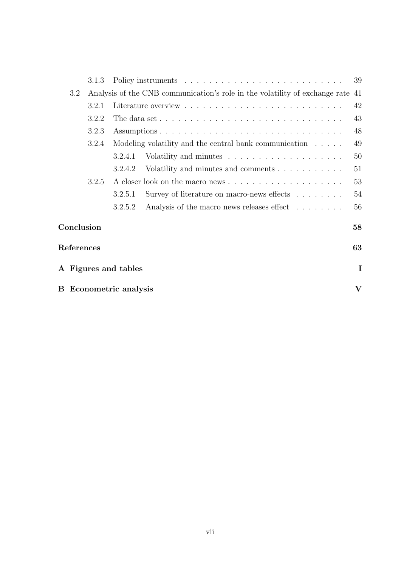|            | 3.1.3                         |                                                                                              | 39      |
|------------|-------------------------------|----------------------------------------------------------------------------------------------|---------|
| 3.2        |                               | Analysis of the CNB communication's role in the volatility of exchange rate 41               |         |
|            | 3.2.1                         |                                                                                              | 42      |
|            | 3.2.2                         | The data set $\dots \dots \dots \dots \dots \dots \dots \dots \dots \dots \dots \dots \dots$ | 43      |
|            | 3.2.3                         |                                                                                              | 48      |
|            | 3.2.4                         | Modeling volatility and the central bank communication $\dots$ .                             | 49      |
|            |                               | 3.2.4.1                                                                                      | 50      |
|            |                               | Volatility and minutes and comments<br>3.2.4.2                                               | 51      |
|            | 3.2.5                         |                                                                                              | 53      |
|            |                               | Survey of literature on macro-news effects $\dots \dots$<br>3.2.5.1                          | 54      |
|            |                               | Analysis of the macro news releases effect<br>3.2.5.2                                        | 56      |
| Conclusion |                               |                                                                                              | 58      |
| References |                               |                                                                                              | 63      |
|            | A Figures and tables          |                                                                                              |         |
|            | <b>B</b> Econometric analysis |                                                                                              | $\bf V$ |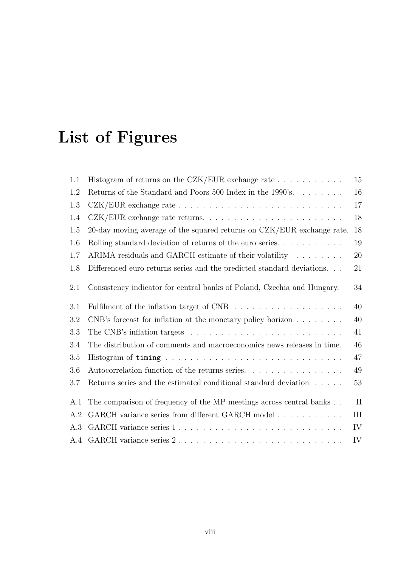# List of Figures

<span id="page-9-0"></span>

| Returns of the Standard and Poors 500 Index in the 1990's.<br>20-day moving average of the squared returns on CZK/EUR exchange rate. | 16<br>17<br>18<br>$18\,$                                                      |
|--------------------------------------------------------------------------------------------------------------------------------------|-------------------------------------------------------------------------------|
|                                                                                                                                      |                                                                               |
|                                                                                                                                      |                                                                               |
|                                                                                                                                      |                                                                               |
|                                                                                                                                      |                                                                               |
|                                                                                                                                      | 19                                                                            |
| ARIMA residuals and GARCH estimate of their volatility                                                                               | 20                                                                            |
| Differenced euro returns series and the predicted standard deviations.                                                               | 21                                                                            |
| Consistency indicator for central banks of Poland, Czechia and Hungary.                                                              | 34                                                                            |
|                                                                                                                                      | 40                                                                            |
| CNB's forecast for inflation at the monetary policy horizon $\dots \dots$                                                            | 40                                                                            |
|                                                                                                                                      | 41                                                                            |
| The distribution of comments and macroeconomics news releases in time.                                                               | 46                                                                            |
|                                                                                                                                      | 47                                                                            |
| Autocorrelation function of the returns series.                                                                                      | $49\,$                                                                        |
| Returns series and the estimated conditional standard deviation $\hfill\ldots\ldots$                                                 | 53                                                                            |
| The comparison of frequency of the MP meetings across central banks                                                                  | $\rm II$                                                                      |
|                                                                                                                                      | III                                                                           |
| GARCH variance series 1                                                                                                              | IV                                                                            |
|                                                                                                                                      | IV                                                                            |
|                                                                                                                                      | Rolling standard deviation of returns of the euro series. $\dots \dots \dots$ |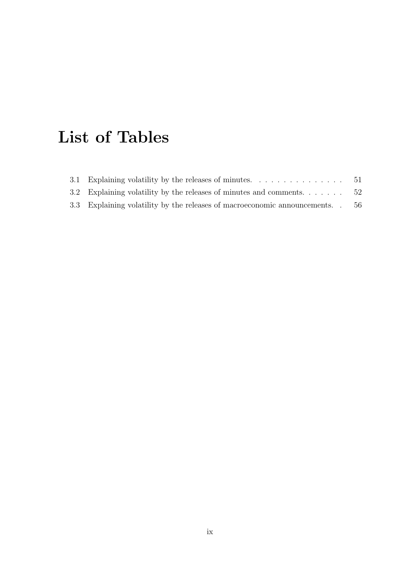# List of Tables

| 3.2 Explaining volatility by the releases of minutes and comments $52$         |  |
|--------------------------------------------------------------------------------|--|
| 3.3 Explaining volatility by the releases of macroeconomic announcements. . 56 |  |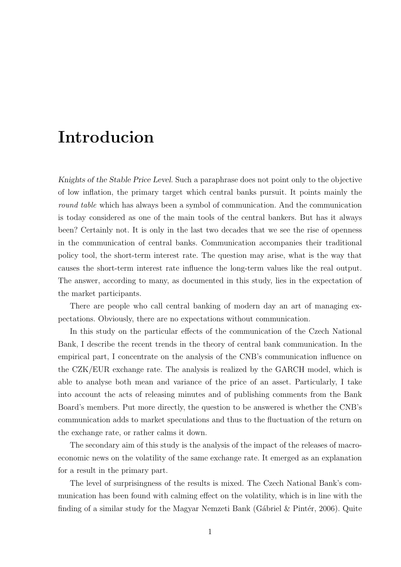## Introducion

<span id="page-11-0"></span>Knights of the Stable Price Level. Such a paraphrase does not point only to the objective of low inflation, the primary target which central banks pursuit. It points mainly the round table which has always been a symbol of communication. And the communication is today considered as one of the main tools of the central bankers. But has it always been? Certainly not. It is only in the last two decades that we see the rise of openness in the communication of central banks. Communication accompanies their traditional policy tool, the short-term interest rate. The question may arise, what is the way that causes the short-term interest rate influence the long-term values like the real output. The answer, according to many, as documented in this study, lies in the expectation of the market participants.

There are people who call central banking of modern day an art of managing expectations. Obviously, there are no expectations without communication.

In this study on the particular effects of the communication of the Czech National Bank, I describe the recent trends in the theory of central bank communication. In the empirical part, I concentrate on the analysis of the CNB's communication influence on the CZK/EUR exchange rate. The analysis is realized by the GARCH model, which is able to analyse both mean and variance of the price of an asset. Particularly, I take into account the acts of releasing minutes and of publishing comments from the Bank Board's members. Put more directly, the question to be answered is whether the CNB's communication adds to market speculations and thus to the fluctuation of the return on the exchange rate, or rather calms it down.

The secondary aim of this study is the analysis of the impact of the releases of macroeconomic news on the volatility of the same exchange rate. It emerged as an explanation for a result in the primary part.

The level of surprisingness of the results is mixed. The Czech National Bank's communication has been found with calming effect on the volatility, which is in line with the finding of a similar study for the Magyar Nemzeti Bank (Gábriel & Pintér, [2006\)](#page-71-0). Quite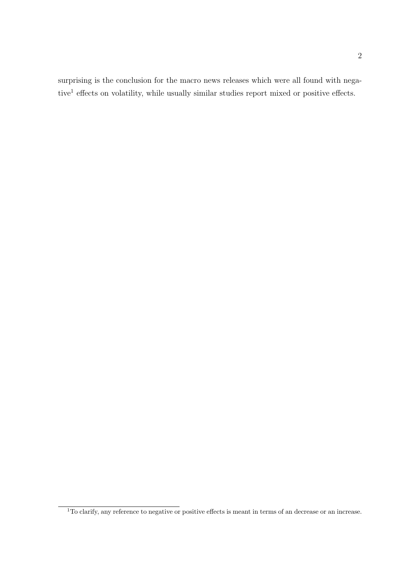surprising is the conclusion for the macro news releases which were all found with nega-tive<sup>[1](#page-12-0)</sup> effects on volatility, while usually similar studies report mixed or positive effects.

<span id="page-12-0"></span><sup>&</sup>lt;sup>1</sup>To clarify, any reference to negative or positive effects is meant in terms of an decrease or an increase.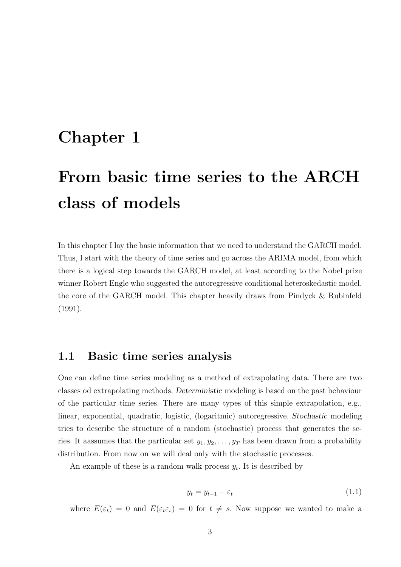## <span id="page-13-0"></span>Chapter 1

# From basic time series to the ARCH class of models

In this chapter I lay the basic information that we need to understand the GARCH model. Thus, I start with the theory of time series and go across the ARIMA model, from which there is a logical step towards the GARCH model, at least according to the Nobel prize winner Robert Engle who suggested the autoregressive conditional heteroskedastic model, the core of the GARCH model. This chapter heavily draws from [Pindyck & Rubinfeld](#page-72-0) [\(1991\)](#page-72-0).

## <span id="page-13-1"></span>1.1 Basic time series analysis

One can define time series modeling as a method of extrapolating data. There are two classes od extrapolating methods. Deterministic modeling is based on the past behaviour of the particular time series. There are many types of this simple extrapolation, e.g., linear, exponential, quadratic, logistic, (logaritmic) autoregressive. Stochastic modeling tries to describe the structure of a random (stochastic) process that generates the series. It aassumes that the particular set  $y_1, y_2, \ldots, y_T$  has been drawn from a probability distribution. From now on we will deal only with the stochastic processes.

<span id="page-13-2"></span>An example of these is a random walk process  $y_t$ . It is described by

$$
y_t = y_{t-1} + \varepsilon_t \tag{1.1}
$$

where  $E(\varepsilon_t) = 0$  and  $E(\varepsilon_t \varepsilon_s) = 0$  for  $t \neq s$ . Now suppose we wanted to make a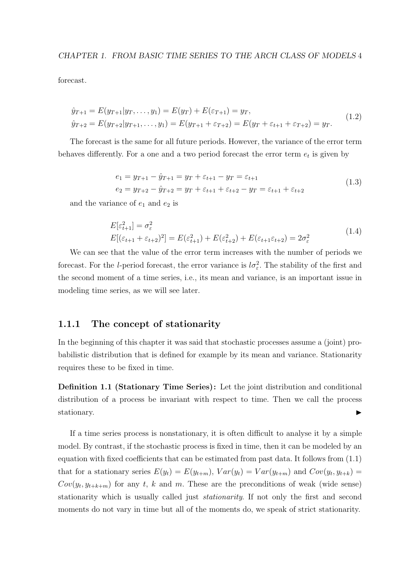forecast.

$$
\hat{y}_{T+1} = E(y_{T+1}|y_T, \dots, y_1) = E(y_T) + E(\varepsilon_{T+1}) = y_T,
$$
\n
$$
\hat{y}_{T+2} = E(y_{T+2}|y_{T+1}, \dots, y_1) = E(y_{T+1} + \varepsilon_{T+2}) = E(y_T + \varepsilon_{t+1} + \varepsilon_{T+2}) = y_T.
$$
\n(1.2)

The forecast is the same for all future periods. However, the variance of the error term behaves differently. For a one and a two period forecast the error term  $e_t$  is given by

$$
e_1 = y_{T+1} - \hat{y}_{T+1} = y_T + \varepsilon_{t+1} - y_T = \varepsilon_{t+1}
$$
  
\n
$$
e_2 = y_{T+2} - \hat{y}_{T+2} = y_T + \varepsilon_{t+1} + \varepsilon_{t+2} - y_T = \varepsilon_{t+1} + \varepsilon_{t+2}
$$
\n(1.3)

and the variance of  $e_1$  and  $e_2$  is

$$
E[\varepsilon_{t+1}^2] = \sigma_{\varepsilon}^2
$$
  
\n
$$
E[(\varepsilon_{t+1} + \varepsilon_{t+2})^2] = E(\varepsilon_{t+1}^2) + E(\varepsilon_{t+2}^2) + E(\varepsilon_{t+1}\varepsilon_{t+2}) = 2\sigma_{\varepsilon}^2
$$
\n(1.4)

We can see that the value of the error term increases with the number of periods we forecast. For the *l*-period forecast, the error variance is  $l\sigma_{\varepsilon}^2$ . The stability of the first and the second moment of a time series, i.e., its mean and variance, is an important issue in modeling time series, as we will see later.

### <span id="page-14-0"></span>1.1.1 The concept of stationarity

In the beginning of this chapter it was said that stochastic processes assume a (joint) probabilistic distribution that is defined for example by its mean and variance. Stationarity requires these to be fixed in time.

<span id="page-14-1"></span>Definition 1.1 (Stationary Time Series) : Let the joint distribution and conditional distribution of a process be invariant with respect to time. Then we call the process stationary.

If a time series process is nonstationary, it is often difficult to analyse it by a simple model. By contrast, if the stochastic process is fixed in time, then it can be modeled by an equation with fixed coefficients that can be estimated from past data. It follows from [\(1.1\)](#page-14-1) that for a stationary series  $E(y_t) = E(y_{t+m})$ ,  $Var(y_t) = Var(y_{t+m})$  and  $Cov(y_t, y_{t+k}) =$  $Cov(y_t, y_{t+k+m})$  for any t, k and m. These are the preconditions of weak (wide sense) stationarity which is usually called just stationarity. If not only the first and second moments do not vary in time but all of the moments do, we speak of strict stationarity.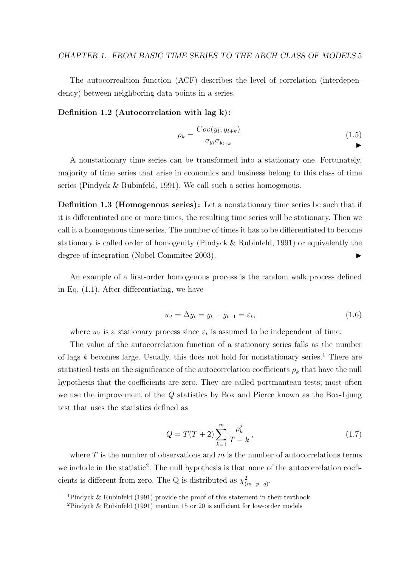The autocorrealtion function (ACF) describes the level of correlation (interdependency) between neighboring data points in a series.

#### Definition 1.2 (Autocorrelation with lag k) :

$$
\rho_k = \frac{Cov(y_t, y_{t+k})}{\sigma_{y_t} \sigma_{y_{t+k}}} \tag{1.5}
$$

A nonstationary time series can be transformed into a stationary one. Fortunately, majority of time series that arise in economics and business belong to this class of time series [\(Pindyck & Rubinfeld,](#page-72-0) [1991\)](#page-72-0). We call such a series homogenous.

Definition 1.3 (Homogenous series): Let a nonstationary time series be such that if it is differentiated one or more times, the resulting time series will be stationary. Then we call it a homogenous time series. The number of times it has to be differentiated to become stationary is called order of homogenity [\(Pindyck & Rubinfeld,](#page-72-0) [1991\)](#page-72-0) or equivalently the degree of integration (Nobel Commitee 2003).

An example of a first-order homogenous process is the random walk process defined in Eq. [\(1.1\)](#page-13-2). After differentiating, we have

$$
w_t = \Delta y_t = y_t - y_{t-1} = \varepsilon_t, \tag{1.6}
$$

where  $w_t$  is a stationary process since  $\varepsilon_t$  is assumed to be independent of time.

The value of the autocorrelation function of a stationary series falls as the number of lags  $k$  becomes large. Usually, this does not hold for nonstationary series.<sup>[1](#page-15-0)</sup> There are statistical tests on the significance of the autocorrelation coefficients  $\rho_k$  that have the null hypothesis that the coefficients are zero. They are called portmanteau tests; most often we use the improvement of the Q statistics by Box and Pierce known as the Box-Ljung test that uses the statistics defined as

$$
Q = T(T+2) \sum_{k=1}^{m} \frac{\rho_k^2}{T-k},
$$
\n(1.7)

where  $T$  is the number of observations and  $m$  is the number of autocorrelations terms we include in the statistic<sup>[2](#page-15-1)</sup>. The null hypothesis is that none of the autocorrelation coeficients is different from zero. The Q is distributed as  $\chi^2_{(m-p-q)}$ .

<span id="page-15-1"></span><span id="page-15-0"></span><sup>&</sup>lt;sup>1</sup>[Pindyck & Rubinfeld](#page-72-0) [\(1991\)](#page-72-0) provide the proof of this statement in their textbook.

<sup>&</sup>lt;sup>2</sup>[Pindyck & Rubinfeld](#page-72-0) [\(1991\)](#page-72-0) mention 15 or 20 is sufficient for low-order models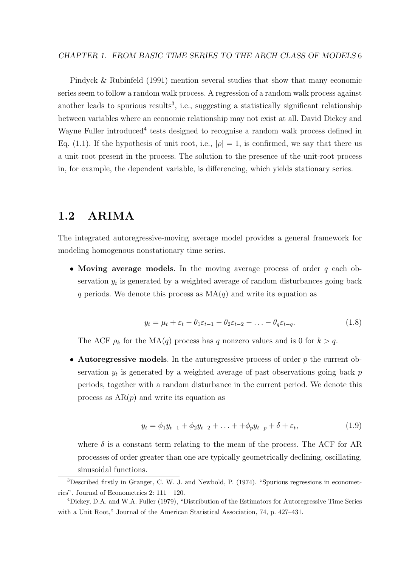#### CHAPTER 1. FROM BASIC TIME SERIES TO THE ARCH CLASS OF MODELS 6

[Pindyck & Rubinfeld](#page-72-0) [\(1991\)](#page-72-0) mention several studies that show that many economic series seem to follow a random walk process. A regression of a random walk process against another leads to spurious results<sup>[3](#page-16-1)</sup>, i.e., suggesting a statistically significant relationship between variables where an economic relationship may not exist at all. David Dickey and Wayne Fuller introduced<sup>[4](#page-16-2)</sup> tests designed to recognise a random walk process defined in Eq. [\(1.1\)](#page-13-2). If the hypothesis of unit root, i.e.,  $|\rho|=1$ , is confirmed, we say that there us a unit root present in the process. The solution to the presence of the unit-root process in, for example, the dependent variable, is differencing, which yields stationary series.

## <span id="page-16-0"></span>1.2 ARIMA

The integrated autoregressive-moving average model provides a general framework for modeling homogenous nonstationary time series.

• Moving average models. In the moving average process of order  $q$  each observation  $y_t$  is generated by a weighted average of random disturbances going back q periods. We denote this process as  $MA(q)$  and write its equation as

$$
y_t = \mu_t + \varepsilon_t - \theta_1 \varepsilon_{t-1} - \theta_2 \varepsilon_{t-2} - \ldots - \theta_q \varepsilon_{t-q}.
$$
 (1.8)

The ACF  $\rho_k$  for the MA(q) process has q nonzero values and is 0 for  $k > q$ .

• Autoregressive models. In the autoregressive process of order  $p$  the current observation  $y_t$  is generated by a weighted average of past observations going back  $p$ periods, together with a random disturbance in the current period. We denote this process as  $AR(p)$  and write its equation as

$$
y_t = \phi_1 y_{t-1} + \phi_2 y_{t-2} + \ldots + \phi_p y_{t-p} + \delta + \varepsilon_t, \tag{1.9}
$$

where  $\delta$  is a constant term relating to the mean of the process. The ACF for AR processes of order greater than one are typically geometrically declining, oscillating, sinusoidal functions.

<span id="page-16-1"></span><sup>3</sup>Described firstly in Granger, C. W. J. and Newbold, P. (1974). "Spurious regressions in econometrics". Journal of Econometrics 2: 111—120.

<span id="page-16-2"></span><sup>4</sup>Dickey, D.A. and W.A. Fuller (1979), "Distribution of the Estimators for Autoregressive Time Series with a Unit Root," Journal of the American Statistical Association, 74, p. 427–431.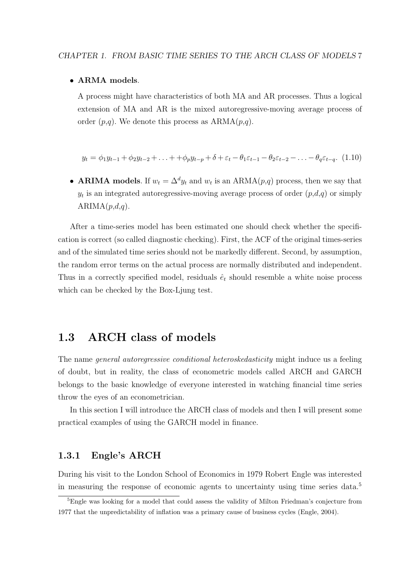#### • ARMA models.

A process might have characteristics of both MA and AR processes. Thus a logical extension of MA and AR is the mixed autoregressive-moving average process of order  $(p,q)$ . We denote this process as  $ARMA(p,q)$ .

$$
y_t = \phi_1 y_{t-1} + \phi_2 y_{t-2} + \ldots + \phi_p y_{t-p} + \delta + \varepsilon_t - \theta_1 \varepsilon_{t-1} - \theta_2 \varepsilon_{t-2} - \ldots - \theta_q \varepsilon_{t-q}.
$$
 (1.10)

• ARIMA models. If  $w_t = \Delta^d y_t$  and  $w_t$  is an ARMA $(p,q)$  process, then we say that  $y_t$  is an integrated autoregressive-moving average process of order  $(p,d,q)$  or simply  $ARIMA(p,d,q).$ 

After a time-series model has been estimated one should check whether the specification is correct (so called diagnostic checking). First, the ACF of the original times-series and of the simulated time series should not be markedly different. Second, by assumption, the random error terms on the actual process are normally distributed and independent. Thus in a correctly specified model, residuals  $\hat{e}_t$  should resemble a white noise process which can be checked by the Box-Ljung test.

### <span id="page-17-0"></span>1.3 ARCH class of models

The name *general autoregressive conditional heteroskedasticity* might induce us a feeling of doubt, but in reality, the class of econometric models called ARCH and GARCH belongs to the basic knowledge of everyone interested in watching financial time series throw the eyes of an econometrician.

In this section I will introduce the ARCH class of models and then I will present some practical examples of using the GARCH model in finance.

### <span id="page-17-1"></span>1.3.1 Engle's ARCH

During his visit to the London School of Economics in 1979 Robert Engle was interested in measuring the response of economic agents to uncertainty using time series data.[5](#page-17-2)

<span id="page-17-2"></span><sup>&</sup>lt;sup>5</sup>Engle was looking for a model that could assess the validity of Milton Friedman's conjecture from 1977 that the unpredictability of inflation was a primary cause of business cycles [\(Engle,](#page-71-1) [2004\)](#page-71-1).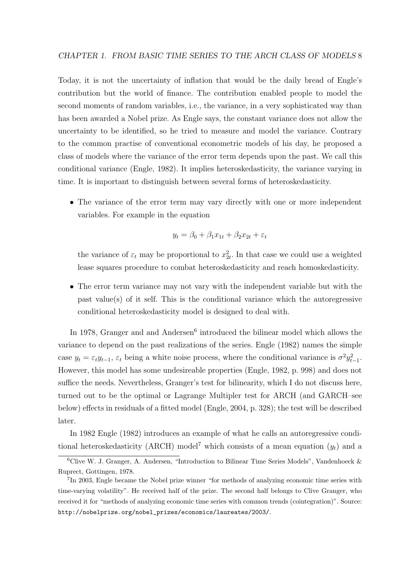Today, it is not the uncertainty of inflation that would be the daily bread of Engle's contribution but the world of finance. The contribution enabled people to model the second moments of random variables, i.e., the variance, in a very sophisticated way than has been awarded a Nobel prize. As Engle says, the constant variance does not allow the uncertainty to be identified, so he tried to measure and model the variance. Contrary to the common practise of conventional econometric models of his day, he proposed a class of models where the variance of the error term depends upon the past. We call this conditional variance [\(Engle,](#page-71-2) [1982\)](#page-71-2). It implies heteroskedasticity, the variance varying in time. It is important to distinguish between several forms of heteroskedasticity.

• The variance of the error term may vary directly with one or more independent variables. For example in the equation

$$
y_t = \beta_0 + \beta_1 x_{1t} + \beta_2 x_{2t} + \varepsilon_t
$$

the variance of  $\varepsilon_t$  may be proportional to  $x_{2t}^2$ . In that case we could use a weighted lease squares procedure to combat heteroskedasticity and reach homoskedasticity.

• The error term variance may not vary with the independent variable but with the past value(s) of it self. This is the conditional variance which the autoregressive conditional heteroskedasticity model is designed to deal with.

In 1978, Granger and and Andersen<sup>[6](#page-18-0)</sup> introduced the bilinear model which allows the variance to depend on the past realizations of the series. [Engle](#page-71-2) [\(1982\)](#page-71-2) names the simple case  $y_t = \varepsilon_t y_{t-1}, \varepsilon_t$  being a white noise process, where the conditional variance is  $\sigma^2 y_{t-1}^2$ . However, this model has some undesireable properties [\(Engle,](#page-71-2) [1982,](#page-71-2) p. 998) and does not suffice the needs. Nevertheless, Granger's test for bilinearity, which I do not discuss here, turned out to be the optimal or Lagrange Multipler test for ARCH (and GARCH–see below) effects in residuals of a fitted model [\(Engle,](#page-71-1) [2004,](#page-71-1) p. 328); the test will be described later.

In 1982 [Engle](#page-71-2) [\(1982\)](#page-71-2) introduces an example of what he calls an autoregressive condi-tional heteroskedasticity (ARCH) model<sup>[7](#page-18-1)</sup> which consists of a mean equation  $(y_t)$  and a

<span id="page-18-0"></span> ${}^{6}$ Clive W. J. Granger, A. Andersen, "Introduction to Bilinear Time Series Models", Vandenhoeck & Ruprect, Gottingen, 1978.

<span id="page-18-1"></span><sup>&</sup>lt;sup>7</sup>In 2003, Engle became the Nobel prize winner "for methods of analyzing economic time series with time-varying volatility". He received half of the prize. The second half belongs to Clive Granger, who received it for "methods of analyzing economic time series with common trends (cointegration)". Source: [http://nobelprize.org/nobel\\_prizes/economics/laureates/2003/](http://nobelprize.org/nobel_prizes/economics/laureates/2003/).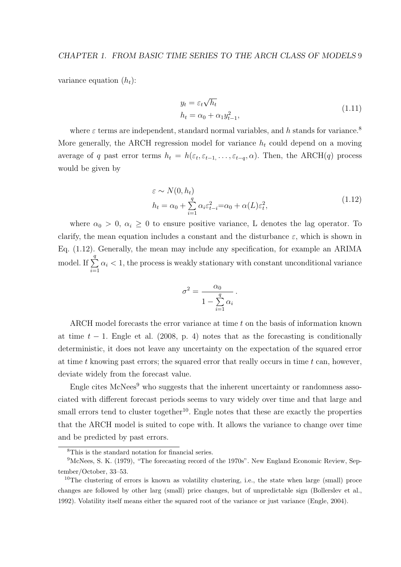variance equation  $(h_t)$ :

$$
y_t = \varepsilon_t \sqrt{h_t}
$$
  
\n
$$
h_t = \alpha_0 + \alpha_1 y_{t-1}^2,
$$
\n(1.11)

<span id="page-19-1"></span>where  $\varepsilon$  terms are independent, standard normal variables, and h stands for variance.<sup>[8](#page-19-0)</sup> More generally, the ARCH regression model for variance  $h_t$  could depend on a moving average of q past error terms  $h_t = h(\varepsilon_t, \varepsilon_{t-1}, \ldots, \varepsilon_{t-q}, \alpha)$ . Then, the ARCH(q) process would be given by

$$
\varepsilon \sim N(0, h_t)
$$
  
\n
$$
h_t = \alpha_0 + \sum_{i=1}^q \alpha_i \varepsilon_{t-i}^2 = \alpha_0 + \alpha(L)\varepsilon_t^2,
$$
\n(1.12)

where  $\alpha_0 > 0$ ,  $\alpha_i \geq 0$  to ensure positive variance, L denotes the lag operator. To clarify, the mean equation includes a constant and the disturbance  $\varepsilon$ , which is shown in Eq. [\(1.12\)](#page-19-1). Generally, the mean may include any specification, for example an ARIMA model. If  $\Sigma$ q  $i=1$  $\alpha_i < 1$ , the process is weakly stationary with constant unconditional variance

$$
\sigma^2 = \frac{\alpha_0}{1 - \sum_{i=1}^q \alpha_i}.
$$

ARCH model forecasts the error variance at time t on the basis of information known at time  $t - 1$ . [Engle et al.](#page-71-3) [\(2008,](#page-71-3) p. 4) notes that as the forecasting is conditionally deterministic, it does not leave any uncertainty on the expectation of the squared error at time t knowing past errors; the squared error that really occurs in time t can, however, deviate widely from the forecast value.

Engle cites  $McNees<sup>9</sup>$  $McNees<sup>9</sup>$  $McNees<sup>9</sup>$  who suggests that the inherent uncertainty or randomness associated with different forecast periods seems to vary widely over time and that large and small errors tend to cluster together<sup>[10](#page-19-3)</sup>. Engle notes that these are exactly the properties that the ARCH model is suited to cope with. It allows the variance to change over time and be predicted by past errors.

<span id="page-19-2"></span><span id="page-19-0"></span><sup>8</sup>This is the standard notation for financial series.

<sup>9</sup>McNees, S. K. (1979), "The forecasting record of the 1970s". New England Economic Review, September/October, 33–53.

<span id="page-19-3"></span><sup>&</sup>lt;sup>10</sup>The clustering of errors is known as volatility clustering, i.e., the state when large (small) proce changes are followed by other larg (small) price changes, but of unpredictable sign [\(Bollerslev et al.,](#page-70-1) [1992\)](#page-70-1). Volatility itself means either the squared root of the variance or just variance [\(Engle,](#page-71-1) [2004\)](#page-71-1).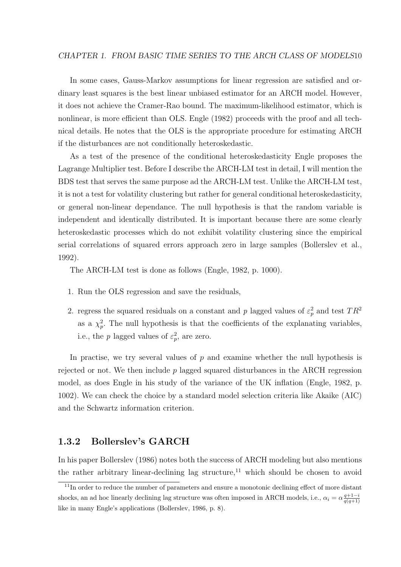#### CHAPTER 1. FROM BASIC TIME SERIES TO THE ARCH CLASS OF MODELS10

In some cases, Gauss-Markov assumptions for linear regression are satisfied and ordinary least squares is the best linear unbiased estimator for an ARCH model. However, it does not achieve the Cramer-Rao bound. The maximum-likelihood estimator, which is nonlinear, is more efficient than OLS. [Engle](#page-71-2) [\(1982\)](#page-71-2) proceeds with the proof and all technical details. He notes that the OLS is the appropriate procedure for estimating ARCH if the disturbances are not conditionally heteroskedastic.

As a test of the presence of the conditional heteroskedasticity Engle proposes the Lagrange Multiplier test. Before I describe the ARCH-LM test in detail, I will mention the BDS test that serves the same purpose ad the ARCH-LM test. Unlike the ARCH-LM test, it is not a test for volatility clustering but rather for general conditional heteroskedasticity, or general non-linear dependance. The null hypothesis is that the random variable is independent and identically distributed. It is important because there are some clearly heteroskedastic processes which do not exhibit volatility clustering since the empirical serial correlations of squared errors approach zero in large samples [\(Bollerslev et al.,](#page-70-1) [1992\)](#page-70-1).

The ARCH-LM test is done as follows [\(Engle,](#page-71-2) [1982,](#page-71-2) p. 1000).

- 1. Run the OLS regression and save the residuals,
- 2. regress the squared residuals on a constant and p lagged values of  $\varepsilon_p^2$  and test  $TR^2$ as a  $\chi_p^2$ . The null hypothesis is that the coefficients of the explanating variables, i.e., the p lagged values of  $\varepsilon_p^2$ , are zero.

In practise, we try several values of  $p$  and examine whether the null hypothesis is rejected or not. We then include  $p$  lagged squared disturbances in the ARCH regression model, as does Engle in his study of the variance of the UK inflation [\(Engle,](#page-71-2) [1982,](#page-71-2) p. 1002). We can check the choice by a standard model selection criteria like Akaike (AIC) and the Schwartz information criterion.

### <span id="page-20-0"></span>1.3.2 Bollerslev's GARCH

In his paper [Bollerslev](#page-70-2) [\(1986\)](#page-70-2) notes both the success of ARCH modeling but also mentions the rather arbitrary linear-declining lag structure, $11$  which should be chosen to avoid

<span id="page-20-1"></span><sup>&</sup>lt;sup>11</sup>In order to reduce the number of parameters and ensure a monotonic declining effect of more distant shocks, an ad hoc linearly declining lag structure was often imposed in ARCH models, i.e.,  $\alpha_i = \alpha \frac{q+1-i}{q(q+1)}$ like in many Engle's applications [\(Bollerslev,](#page-70-2) [1986,](#page-70-2) p. 8).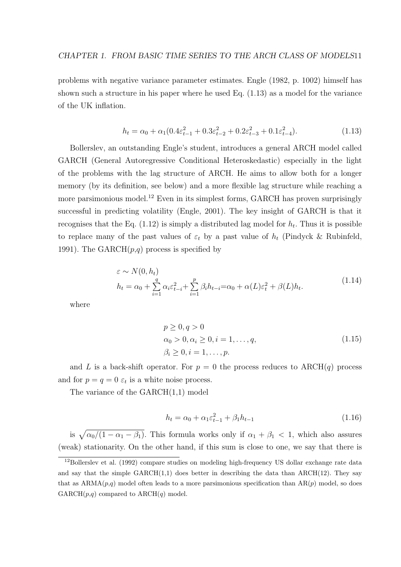<span id="page-21-0"></span>problems with negative variance parameter estimates. [Engle](#page-71-2) [\(1982,](#page-71-2) p. 1002) himself has shown such a structure in his paper where he used Eq.  $(1.13)$  as a model for the variance of the UK inflation.

$$
h_t = \alpha_0 + \alpha_1 (0.4 \varepsilon_{t-1}^2 + 0.3 \varepsilon_{t-2}^2 + 0.2 \varepsilon_{t-3}^2 + 0.1 \varepsilon_{t-4}^2). \tag{1.13}
$$

Bollerslev, an outstanding Engle's student, introduces a general ARCH model called GARCH (General Autoregressive Conditional Heteroskedastic) especially in the light of the problems with the lag structure of ARCH. He aims to allow both for a longer memory (by its definition, see below) and a more flexible lag structure while reaching a more parsimonious model.<sup>[12](#page-21-1)</sup> Even in its simplest forms, GARCH has proven surprisingly successful in predicting volatility [\(Engle,](#page-71-4) [2001\)](#page-71-4). The key insight of GARCH is that it recognises that the Eq.  $(1.12)$  is simply a distributed lag model for  $h_t$ . Thus it is possible to replace many of the past values of  $\varepsilon_t$  by a past value of  $h_t$  [\(Pindyck & Rubinfeld,](#page-72-0) [1991\)](#page-72-0). The GARCH $(p,q)$  process is specified by

$$
\varepsilon \sim N(0, h_t)
$$
  
\n
$$
h_t = \alpha_0 + \sum_{i=1}^q \alpha_i \varepsilon_{t-i}^2 + \sum_{i=1}^p \beta_i h_{t-i} = \alpha_0 + \alpha(L)\varepsilon_t^2 + \beta(L)h_t.
$$
\n(1.14)

where

$$
p \ge 0, q > 0\n\alpha_0 > 0, \alpha_i \ge 0, i = 1, ..., q,\n\beta_i \ge 0, i = 1, ..., p.
$$
\n(1.15)

and L is a back-shift operator. For  $p = 0$  the process reduces to ARCH(q) process and for  $p = q = 0 \varepsilon_t$  is a white noise process.

<span id="page-21-2"></span>The variance of the  $GARCH(1,1)$  model

$$
h_t = \alpha_0 + \alpha_1 \varepsilon_{t-1}^2 + \beta_1 h_{t-1}
$$
\n(1.16)

is  $\sqrt{\alpha_0/(1-\alpha_1-\beta_1)}$ . This formula works only if  $\alpha_1+\beta_1< 1$ , which also assures (weak) stationarity. On the other hand, if this sum is close to one, we say that there is

<span id="page-21-1"></span><sup>&</sup>lt;sup>12</sup>[Bollerslev et al.](#page-70-1) [\(1992\)](#page-70-1) compare studies on modeling high-frequency US dollar exchange rate data and say that the simple  $GARCH(1,1)$  does better in describing the data than  $ARCH(12)$ . They say that as  $ARMA(p,q)$  model often leads to a more parsimonious specification than  $AR(p)$  model, so does  $GARCH(p,q)$  compared to  $ARCH(q)$  model.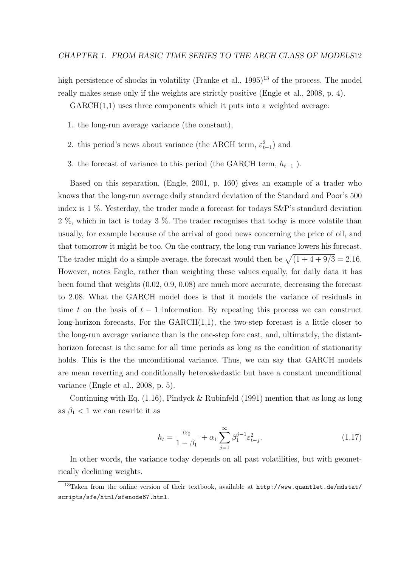high persistence of shocks in volatility [\(Franke et al.,](#page-71-5) [1995\)](#page-71-5)<sup>[13](#page-22-0)</sup> of the process. The model really makes sense only if the weights are strictly positive [\(Engle et al.,](#page-71-3) [2008,](#page-71-3) p. 4).

 $GARCH(1,1)$  uses three components which it puts into a weighted average:

- 1. the long-run average variance (the constant),
- 2. this period's news about variance (the ARCH term,  $\varepsilon_{t-1}^2$ ) and
- 3. the forecast of variance to this period (the GARCH term,  $h_{t-1}$ ).

Based on this separation, [\(Engle,](#page-71-4) [2001,](#page-71-4) p. 160) gives an example of a trader who knows that the long-run average daily standard deviation of the Standard and Poor's 500 index is 1 %. Yesterday, the trader made a forecast for todays S&P's standard deviation 2 %, which in fact is today 3 %. The trader recognises that today is more volatile than usually, for example because of the arrival of good news concerning the price of oil, and that tomorrow it might be too. On the contrary, the long-run variance lowers his forecast. The trader might do a simple average, the forecast would then be  $\sqrt{(1 + 4 + 9/3)} = 2.16$ . However, notes Engle, rather than weighting these values equally, for daily data it has been found that weights (0.02, 0.9, 0.08) are much more accurate, decreasing the forecast to 2.08. What the GARCH model does is that it models the variance of residuals in time t on the basis of  $t - 1$  information. By repeating this process we can construct long-horizon forecasts. For the  $GARCH(1,1)$ , the two-step forecast is a little closer to the long-run average variance than is the one-step fore cast, and, ultimately, the distanthorizon forecast is the same for all time periods as long as the condition of stationarity holds. This is the the unconditional variance. Thus, we can say that GARCH models are mean reverting and conditionally heteroskedastic but have a constant unconditional variance [\(Engle et al.,](#page-71-3) [2008,](#page-71-3) p. 5).

Continuing with Eq.  $(1.16)$ , [Pindyck & Rubinfeld](#page-72-0)  $(1991)$  mention that as long as long as  $\beta_1$  < 1 we can rewrite it as

$$
h_t = \frac{\alpha_0}{1 - \beta_1} + \alpha_1 \sum_{j=1}^{\infty} \beta_1^{j-1} \varepsilon_{t-j}^2.
$$
 (1.17)

In other words, the variance today depends on all past volatilities, but with geometrically declining weights.

<span id="page-22-0"></span><sup>13</sup>Taken from the online version of their textbook, available at [http://www.quantlet.de/mdstat/](http://www.quantlet.de/mdstat/scripts/sfe/html/sfenode67.html) [scripts/sfe/html/sfenode67.html](http://www.quantlet.de/mdstat/scripts/sfe/html/sfenode67.html).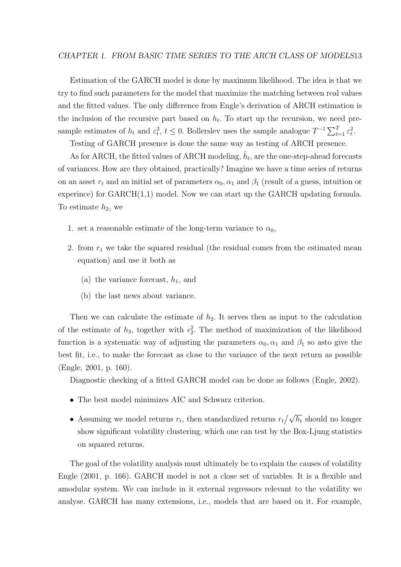#### CHAPTER 1. FROM BASIC TIME SERIES TO THE ARCH CLASS OF MODELS13

Estimation of the GARCH model is done by maximum likelihood. The idea is that we try to find such parameters for the model that maximize the matching between real values and the fitted values. The only difference from Engle's derivation of ARCH estimation is the inclusion of the recursive part based on  $h_t$ . To start up the recursion, we need presample estimates of  $h_t$  and  $\varepsilon_t^2$ ,  $t \leq 0$ . Bollerslev uses the sample analogue  $T^{-1} \sum_{t=1}^T \varepsilon_t^2$ .

Testing of GARCH presence is done the same way as testing of ARCH presence.

As for ARCH, the fitted values of ARCH modeling,  $\hat{h}_t$ , are the one-step-ahead forecasts of variances. How are they obtained, practically? Imagine we have a time series of returns on an asset  $r_t$  and an initial set of parameters  $\alpha_0, \alpha_1$  and  $\beta_1$  (result of a guess, intuition or experince) for GARCH(1,1) model. Now we can start up the GARCH updating formula. To estimate  $h_2$ , we

- 1. set a reasonable estimate of the long-term variance to  $\alpha_0$ ,
- 2. from  $r_1$  we take the squared residual (the residual comes from the estimated mean equation) and use it both as
	- (a) the variance forecast,  $h_1$ , and
	- (b) the last news about variance.

Then we can calculate the estimate of  $h_2$ . It serves then as input to the calculation of the estimate of  $h_3$ , together with  $\epsilon_2^2$ . The method of maximization of the likelihood function is a systematic way of adjusting the parameters  $\alpha_0, \alpha_1$  and  $\beta_1$  so asto give the best fit, i.e., to make the forecast as close to the variance of the next return as possible [\(Engle,](#page-71-4) [2001,](#page-71-4) p. 160).

Diagnostic checking of a fitted GARCH model can be done as follows [\(Engle,](#page-71-6) [2002\)](#page-71-6).

- The best model minimizes AIC and Schwarz criterion.
- Assuming we model returns  $r_t$ , then standardized returns  $r_t / \sqrt{h_t}$  should no longer show significant volatility clustering, which one can test by the Box-Ljung statistics on squared returns.

The goal of the volatility analysis must ultimately be to explain the causes of volatility [Engle](#page-71-4) [\(2001,](#page-71-4) p. 166). GARCH model is not a close set of variables. It is a flexible and amodular system. We can include in it external regressors relevant to the volatility we analyse. GARCH has many extensions, i.e., models that are based on it. For example,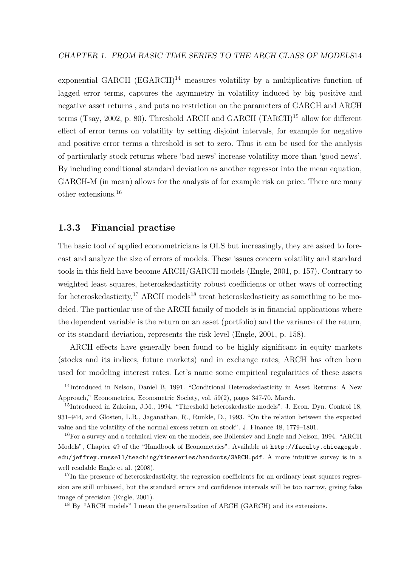exponential GARCH  $(EGARCH)^{14}$  $(EGARCH)^{14}$  $(EGARCH)^{14}$  measures volatility by a multiplicative function of lagged error terms, captures the asymmetry in volatility induced by big positive and negative asset returns , and puts no restriction on the parameters of GARCH and ARCH terms [\(Tsay,](#page-73-0) [2002,](#page-73-0) p. 80). Threshold ARCH and GARCH (TARCH)[15](#page-24-2) allow for different effect of error terms on volatility by setting disjoint intervals, for example for negative and positive error terms a threshold is set to zero. Thus it can be used for the analysis of particularly stock returns where 'bad news' increase volatility more than 'good news'. By including conditional standard deviation as another regressor into the mean equation, GARCH-M (in mean) allows for the analysis of for example risk on price. There are many other extensions.[16](#page-24-3)

### <span id="page-24-0"></span>1.3.3 Financial practise

The basic tool of applied econometricians is OLS but increasingly, they are asked to forecast and analyze the size of errors of models. These issues concern volatility and standard tools in this field have become ARCH/GARCH models [\(Engle,](#page-71-4) [2001,](#page-71-4) p. 157). Contrary to weighted least squares, heteroskedasticity robust coefficients or other ways of correcting for heteroskedasticity,<sup>[17](#page-24-4)</sup> ARCH models<sup>[18](#page-24-5)</sup> treat heteroskedasticity as something to be modeled. The particular use of the ARCH family of models is in financial applications where the dependent variable is the return on an asset (portfolio) and the variance of the return, or its standard deviation, represents the risk level [\(Engle,](#page-71-4) [2001,](#page-71-4) p. 158).

ARCH effects have generally been found to be highly significant in equity markets (stocks and its indices, future markets) and in exchange rates; ARCH has often been used for modeling interest rates. Let's name some empirical regularities of these assets

<span id="page-24-1"></span><sup>14</sup>Introduced in Nelson, Daniel B, 1991. "Conditional Heteroskedasticity in Asset Returns: A New Approach," Econometrica, Econometric Society, vol. 59(2), pages 347-70, March.

<span id="page-24-2"></span><sup>15</sup>Introduced in Zakoian, J.M., 1994. "Threshold heteroskedastic models". J. Econ. Dyn. Control 18, 931–944, and Glosten, L.R., Jaganathan, R., Runkle, D., 1993. "On the relation between the expected value and the volatility of the normal excess return on stock". J. Finance 48, 1779–1801.

<span id="page-24-3"></span><sup>&</sup>lt;sup>16</sup>For a survey and a technical view on the models, see Bollerslev and Engle and Nelson, 1994. "ARCH Models", Chapter 49 of the "Handbook of Econometrics". Available at [http://faculty.chicagogsb.](http://faculty.chicagogsb.edu/jeffrey.russell/teaching/timeseries/handouts/GARCH.pdf) [edu/jeffrey.russell/teaching/timeseries/handouts/GARCH.pdf](http://faculty.chicagogsb.edu/jeffrey.russell/teaching/timeseries/handouts/GARCH.pdf). A more intuitive survey is in a well readable [Engle et al.](#page-71-3) [\(2008\)](#page-71-3).

<span id="page-24-4"></span><sup>&</sup>lt;sup>17</sup>In the presence of heteroskedasticity, the regression coefficients for an ordinary least squares regression are still unbiased, but the standard errors and confidence intervals will be too narrow, giving false image of precision [\(Engle,](#page-71-4) [2001\)](#page-71-4).

<span id="page-24-5"></span><sup>18</sup> By "ARCH models" I mean the generalization of ARCH (GARCH) and its extensions.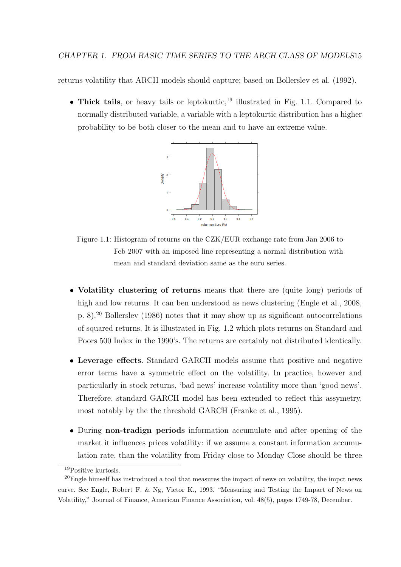returns volatility that ARCH models should capture; based on [Bollerslev et al.](#page-70-1) [\(1992\)](#page-70-1).

<span id="page-25-0"></span>• Thick tails, or heavy tails or leptokurtic,<sup>[19](#page-25-1)</sup> illustrated in Fig. [1.1.](#page-25-0) Compared to normally distributed variable, a variable with a leptokurtic distribution has a higher probability to be both closer to the mean and to have an extreme value.



Figure 1.1: Histogram of returns on the CZK/EUR exchange rate from Jan 2006 to Feb 2007 with an imposed line representing a normal distribution with mean and standard deviation same as the euro series.

- Volatility clustering of returns means that there are (quite long) periods of high and low returns. It can ben understood as news clustering [\(Engle et al.,](#page-71-3) [2008,](#page-71-3) p. 8).[20](#page-25-2) [Bollerslev](#page-70-2) [\(1986\)](#page-70-2) notes that it may show up as significant autocorrelations of squared returns. It is illustrated in Fig. [1.2](#page-26-0) which plots returns on Standard and Poors 500 Index in the 1990's. The returns are certainly not distributed identically.
- Leverage effects. Standard GARCH models assume that positive and negative error terms have a symmetric effect on the volatility. In practice, however and particularly in stock returns, 'bad news' increase volatility more than 'good news'. Therefore, standard GARCH model has been extended to reflect this assymetry, most notably by the the threshold GARCH [\(Franke et al.,](#page-71-5) [1995\)](#page-71-5).
- During non-tradign periods information accumulate and after opening of the market it influences prices volatility: if we assume a constant information accumulation rate, than the volatility from Friday close to Monday Close should be three

<span id="page-25-2"></span><span id="page-25-1"></span><sup>19</sup>Positive kurtosis.

 $20$ Engle himself has instroduced a tool that measures the impact of news on volatility, the impct news curve. See Engle, Robert F. & Ng, Victor K., 1993. "Measuring and Testing the Impact of News on Volatility," Journal of Finance, American Finance Association, vol. 48(5), pages 1749-78, December.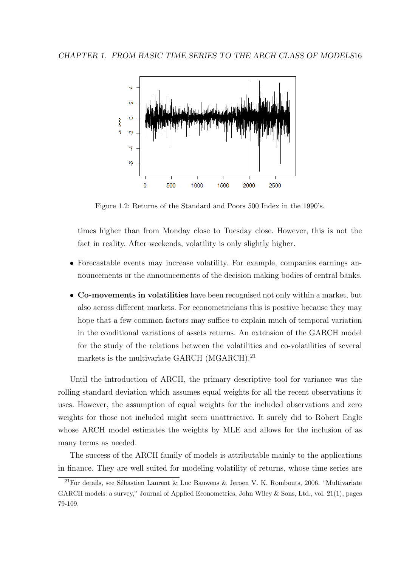<span id="page-26-0"></span>

Figure 1.2: Returns of the Standard and Poors 500 Index in the 1990's.

times higher than from Monday close to Tuesday close. However, this is not the fact in reality. After weekends, volatility is only slightly higher.

- Forecastable events may increase volatility. For example, companies earnings announcements or the announcements of the decision making bodies of central banks.
- Co-movements in volatilities have been recognised not only within a market, but also across different markets. For econometricians this is positive because they may hope that a few common factors may suffice to explain much of temporal variation in the conditional variations of assets returns. An extension of the GARCH model for the study of the relations between the volatilities and co-volatilities of several markets is the multivariate GARCH (MGARCH).<sup>[21](#page-26-1)</sup>

Until the introduction of ARCH, the primary descriptive tool for variance was the rolling standard deviation which assumes equal weights for all the recent observations it uses. However, the assumption of equal weights for the included observations and zero weights for those not included might seem unattractive. It surely did to Robert Engle whose ARCH model estimates the weights by MLE and allows for the inclusion of as many terms as needed.

The success of the ARCH family of models is attributable mainly to the applications in finance. They are well suited for modeling volatility of returns, whose time series are

<span id="page-26-1"></span><sup>&</sup>lt;sup>21</sup>For details, see Sébastien Laurent & Luc Bauwens & Jeroen V. K. Rombouts, 2006. "Multivariate GARCH models: a survey," Journal of Applied Econometrics, John Wiley & Sons, Ltd., vol. 21(1), pages 79-109.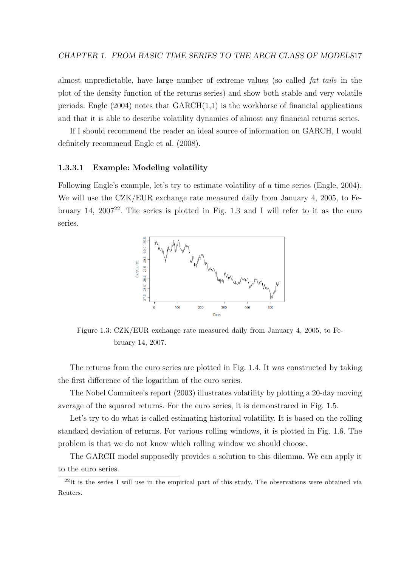almost unpredictable, have large number of extreme values (so called fat tails in the plot of the density function of the returns series) and show both stable and very volatile periods. [Engle](#page-71-1)  $(2004)$  notes that  $GARCH(1,1)$  is the workhorse of financial applications and that it is able to describe volatility dynamics of almost any financial returns series.

If I should recommend the reader an ideal source of information on GARCH, I would definitely recommend [Engle et al.](#page-71-3) [\(2008\)](#page-71-3).

#### <span id="page-27-0"></span>1.3.3.1 Example: Modeling volatility

<span id="page-27-1"></span>Following Engle's example, let's try to estimate volatility of a time series [\(Engle,](#page-71-1) [2004\)](#page-71-1). We will use the CZK/EUR exchange rate measured daily from January 4, 2005, to February 14,  $2007^{22}$  $2007^{22}$  $2007^{22}$ . The series is plotted in Fig. [1.3](#page-27-1) and I will refer to it as the euro series.



Figure 1.3: CZK/EUR exchange rate measured daily from January 4, 2005, to February 14, 2007.

The returns from the euro series are plotted in Fig. [1.4.](#page-28-0) It was constructed by taking the first difference of the logarithm of the euro series.

The Nobel Commitee's report (2003) illustrates volatility by plotting a 20-day moving average of the squared returns. For the euro series, it is demonstrared in Fig. [1.5.](#page-28-1)

Let's try to do what is called estimating historical volatility. It is based on the rolling standard deviation of returns. For various rolling windows, it is plotted in Fig. [1.6.](#page-29-1) The problem is that we do not know which rolling window we should choose.

The GARCH model supposedly provides a solution to this dilemma. We can apply it to the euro series.

<span id="page-27-2"></span><sup>&</sup>lt;sup>22</sup>It is the series I will use in the empirical part of this study. The observations were obtained via Reuters.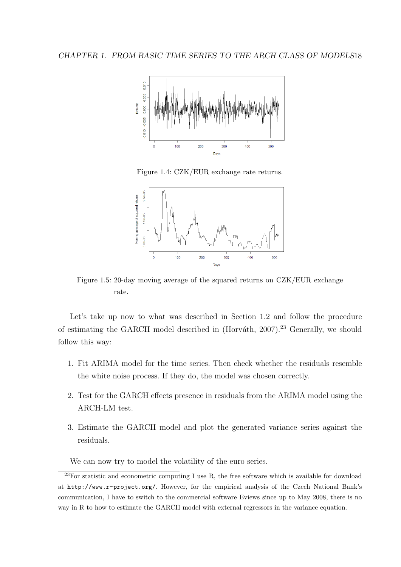<span id="page-28-0"></span>

Figure 1.4: CZK/EUR exchange rate returns.

<span id="page-28-1"></span>

Figure 1.5: 20-day moving average of the squared returns on CZK/EUR exchange rate.

Let's take up now to what was described in Section [1.2](#page-16-0) and follow the procedure of estimating the GARCH model described in (Horváth, [2007\)](#page-71-7).<sup>[23](#page-28-2)</sup> Generally, we should follow this way:

- 1. Fit ARIMA model for the time series. Then check whether the residuals resemble the white noise process. If they do, the model was chosen correctly.
- 2. Test for the GARCH effects presence in residuals from the ARIMA model using the ARCH-LM test.
- 3. Estimate the GARCH model and plot the generated variance series against the residuals.

<span id="page-28-2"></span>We can now try to model the volatility of the euro series.

 $^{23}$ For statistic and econometric computing I use R, the free software which is available for download at <http://www.r-project.org/>. However, for the empirical analysis of the Czech National Bank's communication, I have to switch to the commercial software Eviews since up to May 2008, there is no way in R to how to estimate the GARCH model with external regressors in the variance equation.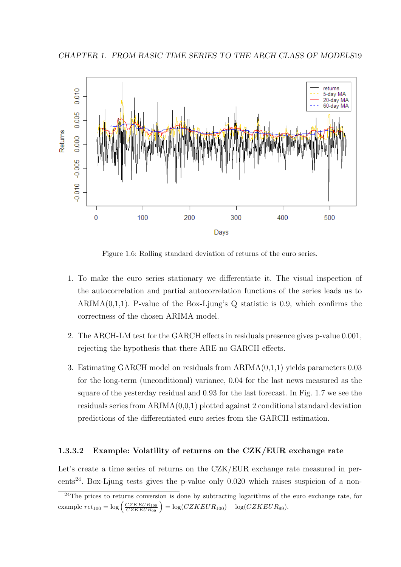<span id="page-29-1"></span>

Figure 1.6: Rolling standard deviation of returns of the euro series.

- 1. To make the euro series stationary we differentiate it. The visual inspection of the autocorrelation and partial autocorrelation functions of the series leads us to ARIMA $(0,1,1)$ . P-value of the Box-Ljung's Q statistic is 0.9, which confirms the correctness of the chosen ARIMA model.
- 2. The ARCH-LM test for the GARCH effects in residuals presence gives p-value 0.001, rejecting the hypothesis that there ARE no GARCH effects.
- 3. Estimating GARCH model on residuals from ARIMA(0,1,1) yields parameters 0.03 for the long-term (unconditional) variance, 0.04 for the last news measured as the square of the yesterday residual and 0.93 for the last forecast. In Fig. [1.7](#page-30-1) we see the residuals series from  $ARIMA(0,0,1)$  plotted against 2 conditional standard deviation predictions of the differentiated euro series from the GARCH estimation.

#### <span id="page-29-0"></span>1.3.3.2 Example: Volatility of returns on the CZK/EUR exchange rate

Let's create a time series of returns on the CZK/EUR exchange rate measured in per-cents<sup>[24](#page-29-2)</sup>. Box-Ljung tests gives the p-value only  $0.020$  which raises suspicion of a non-

<span id="page-29-2"></span> $^{24}$ The prices to returns conversion is done by subtracting logarithms of the euro exchange rate, for example  $ret_{100} = \log \left( \frac{CZKEUR_{100}}{CZKEUR_{99}} \right) = \log(CZKEUR_{100}) - \log(CZKEUR_{99}).$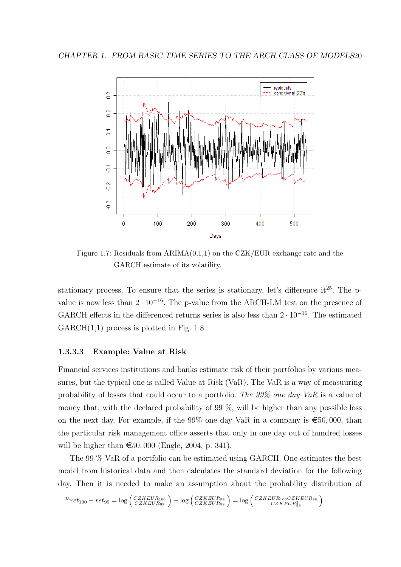<span id="page-30-1"></span>

Figure 1.7: Residuals from  $ARIMA(0,1,1)$  on the CZK/EUR exchange rate and the GARCH estimate of its volatility.

stationary process. To ensure that the series is stationary, let's difference it<sup>[25](#page-30-2)</sup>. The pvalue is now less than  $2 \cdot 10^{-16}$ . The p-value from the ARCH-LM test on the presence of GARCH effects in the differenced returns series is also less than  $2 \cdot 10^{-16}$ . The estimated  $GARCH(1,1)$  process is plotted in Fig. [1.8.](#page-31-0)

### <span id="page-30-0"></span>1.3.3.3 Example: Value at Risk

Financial services institutions and banks estimate risk of their portfolios by various measures, but the typical one is called Value at Risk (VaR). The VaR is a way of measuuring probability of losses that could occur to a portfolio. The 99% one day VaR is a value of money that, with the declared probability of 99 %, will be higher than any possible loss on the next day. For example, if the 99% one day VaR in a company is  $\epsilon$ 50,000, than the particular risk management office asserts that only in one day out of hundred losses will be higher than  $\epsilon$ 50, 000 [\(Engle,](#page-71-1) [2004,](#page-71-1) p. 341).

The 99 % VaR of a portfolio can be estimated using GARCH. One estimates the best model from historical data and then calculates the standard deviation for the following day. Then it is needed to make an assumption about the probability distribution of

```
^{25}ret_{100} - ret_{99} = \log\left(\frac{CZKEUR_{100}}{CZKEUR_{99}}\right)-\log\left(\frac{CZKEUR_{99}}{CZKEUR_{98}}\right) = \log\left(\frac{CZKEUR_{100}CZKEUR_{98}}{CZKEUR_{99}}\right)
```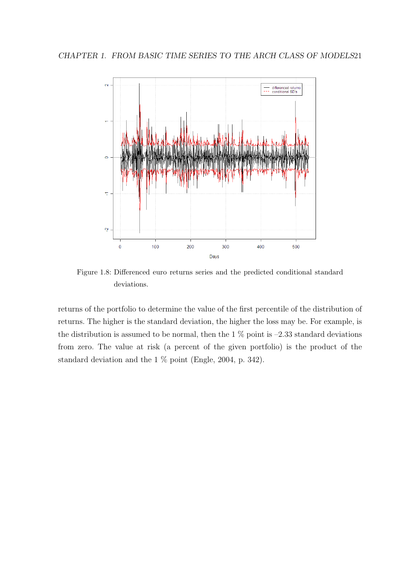<span id="page-31-0"></span>

Figure 1.8: Differenced euro returns series and the predicted conditional standard deviations.

returns of the portfolio to determine the value of the first percentile of the distribution of returns. The higher is the standard deviation, the higher the loss may be. For example, is the distribution is assumed to be normal, then the  $1\%$  point is  $-2.33$  standard deviations from zero. The value at risk (a percent of the given portfolio) is the product of the standard deviation and the 1 % point [\(Engle,](#page-71-1) [2004,](#page-71-1) p. 342).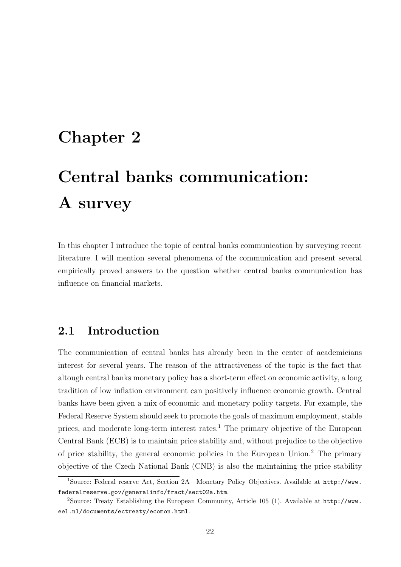## <span id="page-32-0"></span>Chapter 2

# Central banks communication: A survey

In this chapter I introduce the topic of central banks communication by surveying recent literature. I will mention several phenomena of the communication and present several empirically proved answers to the question whether central banks communication has influence on financial markets.

## <span id="page-32-1"></span>2.1 Introduction

The communication of central banks has already been in the center of academicians interest for several years. The reason of the attractiveness of the topic is the fact that altough central banks monetary policy has a short-term effect on economic activity, a long tradition of low inflation environment can positively influence economic growth. Central banks have been given a mix of economic and monetary policy targets. For example, the Federal Reserve System should seek to promote the goals of maximum employment, stable prices, and moderate long-term interest rates.<sup>[1](#page-32-2)</sup> The primary objective of the European Central Bank (ECB) is to maintain price stability and, without prejudice to the objective of price stability, the general economic policies in the European Union.[2](#page-32-3) The primary objective of the Czech National Bank (CNB) is also the maintaining the price stability

<span id="page-32-2"></span><sup>&</sup>lt;sup>1</sup>Source: Federal reserve Act, Section 2A—Monetary Policy Objectives. Available at [http://www.](http://www.federalreserve.gov/generalinfo/fract/sect02a.htm) [federalreserve.gov/generalinfo/fract/sect02a.htm](http://www.federalreserve.gov/generalinfo/fract/sect02a.htm).

<span id="page-32-3"></span><sup>2</sup>Source: Treaty Establishing the European Community, Article 105 (1). Available at [http://www.](http://www.eel.nl/documents/ectreaty/ecomon.html) [eel.nl/documents/ectreaty/ecomon.html](http://www.eel.nl/documents/ectreaty/ecomon.html).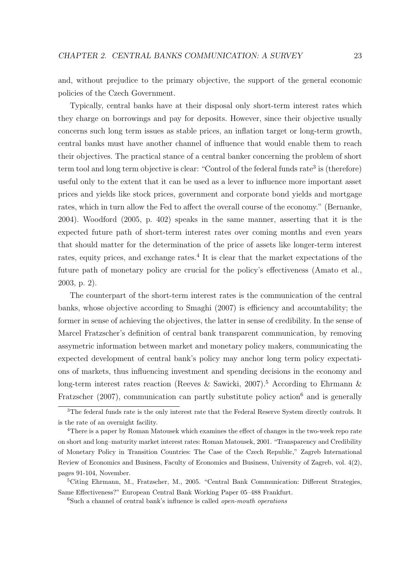and, without prejudice to the primary objective, the support of the general economic policies of the Czech Government.

Typically, central banks have at their disposal only short-term interest rates which they charge on borrowings and pay for deposits. However, since their objective usually concerns such long term issues as stable prices, an inflation target or long-term growth, central banks must have another channel of influence that would enable them to reach their objectives. The practical stance of a central banker concerning the problem of short term tool and long term objective is clear: "Control of the federal funds rate<sup>[3](#page-33-0)</sup> is (therefore) useful only to the extent that it can be used as a lever to influence more important asset prices and yields like stock prices, government and corporate bond yields and mortgage rates, which in turn allow the Fed to affect the overall course of the economy." [\(Bernanke,](#page-70-3) [2004\)](#page-70-3). [Woodford](#page-73-1) [\(2005,](#page-73-1) p. 402) speaks in the same manner, asserting that it is the expected future path of short-term interest rates over coming months and even years that should matter for the determination of the price of assets like longer-term interest rates, equity prices, and exchange rates.<sup>[4](#page-33-1)</sup> It is clear that the market expectations of the future path of monetary policy are crucial for the policy's effectiveness [\(Amato et al.,](#page-70-4) [2003,](#page-70-4) p. 2).

The counterpart of the short-term interest rates is the communication of the central banks, whose objective according to [Smaghi](#page-73-2) [\(2007\)](#page-73-2) is efficiency and accountability; the former in sense of achieving the objectives, the latter in sense of credibility. In the sense of Marcel Fratzscher's definition of central bank transparent communication, by removing assymetric information between market and monetary policy makers, communicating the expected development of central bank's policy may anchor long term policy expectations of markets, thus influencing investment and spending decisions in the economy and long-term interest rates reaction [\(Reeves & Sawicki,](#page-72-1) [2007\)](#page-72-1).<sup>[5](#page-33-2)</sup> According to [Ehrmann &](#page-71-8) [Fratzscher](#page-71-8) [\(2007\)](#page-71-8), communication can partly substitute policy action<sup>[6](#page-33-3)</sup> and is generally

<span id="page-33-3"></span> $6Such a channel of central bank's influence is called *open-mouth operations*$ 

<span id="page-33-0"></span><sup>&</sup>lt;sup>3</sup>The federal funds rate is the only interest rate that the Federal Reserve System directly controls. It is the rate of an overnight facility.

<span id="page-33-1"></span><sup>&</sup>lt;sup>4</sup>There is a paper by Roman Matousek which examines the effect of changes in the two-week repo rate on short and long–maturity market interest rates: Roman Matousek, 2001. "Transparency and Credibility of Monetary Policy in Transition Countries: The Case of the Czech Republic," Zagreb International Review of Economics and Business, Faculty of Economics and Business, University of Zagreb, vol. 4(2), pages 91-104, November.

<span id="page-33-2"></span><sup>5</sup>Citing Ehrmann, M., Fratzscher, M., 2005. "Central Bank Communication: Different Strategies, Same Effectiveness?" European Central Bank Working Paper 05–488 Frankfurt.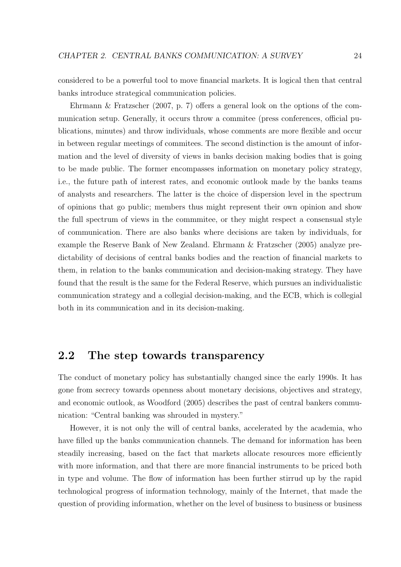considered to be a powerful tool to move financial markets. It is logical then that central banks introduce strategical communication policies.

[Ehrmann & Fratzscher](#page-71-8) [\(2007,](#page-71-8) p. 7) offers a general look on the options of the communication setup. Generally, it occurs throw a commitee (press conferences, official publications, minutes) and throw individuals, whose comments are more flexible and occur in between regular meetings of commitees. The second distinction is the amount of information and the level of diversity of views in banks decision making bodies that is going to be made public. The former encompasses information on monetary policy strategy, i.e., the future path of interest rates, and economic outlook made by the banks teams of analysts and researchers. The latter is the choice of dispersion level in the spectrum of opinions that go public; members thus might represent their own opinion and show the full spectrum of views in the commmitee, or they might respect a consensual style of communication. There are also banks where decisions are taken by individuals, for example the Reserve Bank of New Zealand. [Ehrmann & Fratzscher](#page-71-9) [\(2005\)](#page-71-9) analyze predictability of decisions of central banks bodies and the reaction of financial markets to them, in relation to the banks communication and decision-making strategy. They have found that the result is the same for the Federal Reserve, which pursues an individualistic communication strategy and a collegial decision-making, and the ECB, which is collegial both in its communication and in its decision-making.

## <span id="page-34-0"></span>2.2 The step towards transparency

The conduct of monetary policy has substantially changed since the early 1990s. It has gone from secrecy towards openness about monetary decisions, objectives and strategy, and economic outlook, as [Woodford](#page-73-1) [\(2005\)](#page-73-1) describes the past of central bankers communication: "Central banking was shrouded in mystery."

However, it is not only the will of central banks, accelerated by the academia, who have filled up the banks communication channels. The demand for information has been steadily increasing, based on the fact that markets allocate resources more efficiently with more information, and that there are more financial instruments to be priced both in type and volume. The flow of information has been further stirrud up by the rapid technological progress of information technology, mainly of the Internet, that made the question of providing information, whether on the level of business to business or business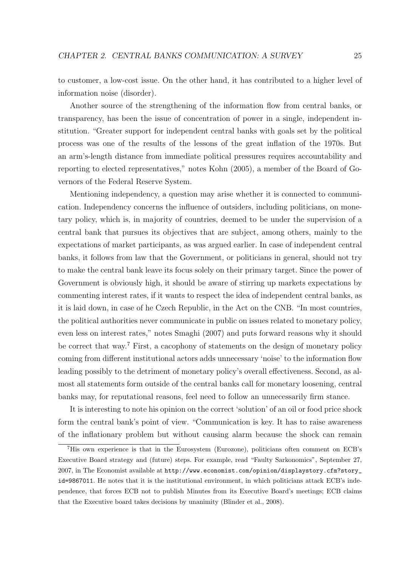to customer, a low-cost issue. On the other hand, it has contributed to a higher level of information noise (disorder).

Another source of the strengthening of the information flow from central banks, or transparency, has been the issue of concentration of power in a single, independent institution. "Greater support for independent central banks with goals set by the political process was one of the results of the lessons of the great inflation of the 1970s. But an arm's-length distance from immediate political pressures requires accountability and reporting to elected representatives," notes [Kohn](#page-72-2) [\(2005\)](#page-72-2), a member of the Board of Governors of the Federal Reserve System.

Mentioning independency, a question may arise whether it is connected to communication. Independency concerns the influence of outsiders, including politicians, on monetary policy, which is, in majority of countries, deemed to be under the supervision of a central bank that pursues its objectives that are subject, among others, mainly to the expectations of market participants, as was argued earlier. In case of independent central banks, it follows from law that the Government, or politicians in general, should not try to make the central bank leave its focus solely on their primary target. Since the power of Government is obviously high, it should be aware of stirring up markets expectations by commenting interest rates, if it wants to respect the idea of independent central banks, as it is laid down, in case of he Czech Republic, in the Act on the CNB. "In most countries, the political authorities never communicate in public on issues related to monetary policy, even less on interest rates," notes [Smaghi](#page-73-2) [\(2007\)](#page-73-2) and puts forward reasons why it should be correct that way.<sup>[7](#page-35-0)</sup> First, a cacophony of statements on the design of monetary policy coming from different institutional actors adds unnecessary 'noise' to the information flow leading possibly to the detriment of monetary policy's overall effectiveness. Second, as almost all statements form outside of the central banks call for monetary loosening, central banks may, for reputational reasons, feel need to follow an unnecessarily firm stance.

It is interesting to note his opinion on the correct 'solution' of an oil or food price shock form the central bank's point of view. "Communication is key. It has to raise awareness of the inflationary problem but without causing alarm because the shock can remain

<span id="page-35-0"></span><sup>7</sup>His own experience is that in the Eurosystem (Eurozone), politicians often comment on ECB's Executive Board strategy and (future) steps. For example, read "Faulty Sarkonomics", September 27, 2007, in The Economist available at [http://www.economist.com/opinion/displaystory.cfm?story\\_](http://www.economist.com/opinion/displaystory.cfm?story_id=9867011) [id=9867011](http://www.economist.com/opinion/displaystory.cfm?story_id=9867011). He notes that it is the institutional environment, in which politicians attack ECB's independence, that forces ECB not to publish Minutes from its Executive Board's meetings; ECB claims that the Executive board takes decisions by unanimity [\(Blinder et al.,](#page-70-5) [2008\)](#page-70-5).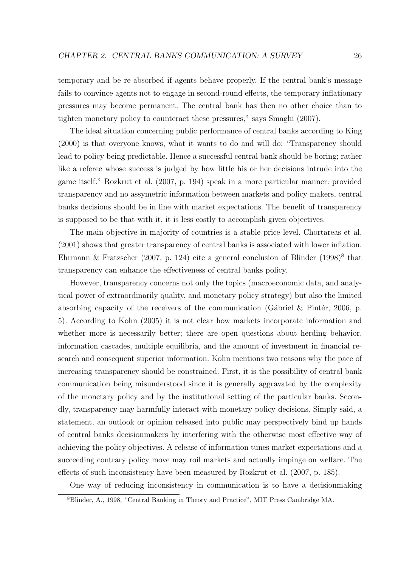temporary and be re-absorbed if agents behave properly. If the central bank's message fails to convince agents not to engage in second-round effects, the temporary inflationary pressures may become permanent. The central bank has then no other choice than to tighten monetary policy to counteract these pressures," says [Smaghi](#page-73-0) [\(2007\)](#page-73-0).

The ideal situation concerning public performance of central banks according to [King](#page-72-0) [\(2000\)](#page-72-0) is that overyone knows, what it wants to do and will do: "Transparency should lead to policy being predictable. Hence a successful central bank should be boring; rather like a referee whose success is judged by how little his or her decisions intrude into the game itself." [Rozkrut et al.](#page-73-1) [\(2007,](#page-73-1) p. 194) speak in a more particular manner: provided transparency and no assymetric information between markets and policy makers, central banks decisions should be in line with market expectations. The benefit of transparency is supposed to be that with it, it is less costly to accomplish given objectives.

The main objective in majority of countries is a stable price level. [Chortareas et al.](#page-70-0) [\(2001\)](#page-70-0) shows that greater transparency of central banks is associated with lower inflation. [Ehrmann & Fratzscher](#page-71-0) [\(2007,](#page-71-0) p. 124) cite a general conclusion of Blinder  $(1998)^8$  $(1998)^8$  $(1998)^8$  that transparency can enhance the effectiveness of central banks policy.

However, transparency concerns not only the topics (macroeconomic data, and analytical power of extraordinarily quality, and monetary policy strategy) but also the limited absorbing capacity of the receivers of the communication (Gábriel & Pintér, [2006,](#page-71-1) p. 5). According to [Kohn](#page-72-1) [\(2005\)](#page-72-1) it is not clear how markets incorporate information and whether more is necessarily better; there are open questions about herding behavior, information cascades, multiple equilibria, and the amount of investment in financial research and consequent superior information. Kohn mentions two reasons why the pace of increasing transparency should be constrained. First, it is the possibility of central bank communication being misunderstood since it is generally aggravated by the complexity of the monetary policy and by the institutional setting of the particular banks. Secondly, transparency may harmfully interact with monetary policy decisions. Simply said, a statement, an outlook or opinion released into public may perspectively bind up hands of central banks decisionmakers by interfering with the otherwise most effective way of achieving the policy objectives. A release of information tunes market expectations and a succeeding contrary policy move may roil markets and actually impinge on welfare. The effects of such inconsistency have been measured by [Rozkrut et al.](#page-73-1) [\(2007,](#page-73-1) p. 185).

One way of reducing inconsistency in communication is to have a decisionmaking

<span id="page-36-0"></span><sup>8</sup>Blinder, A., 1998, "Central Banking in Theory and Practice", MIT Press Cambridge MA.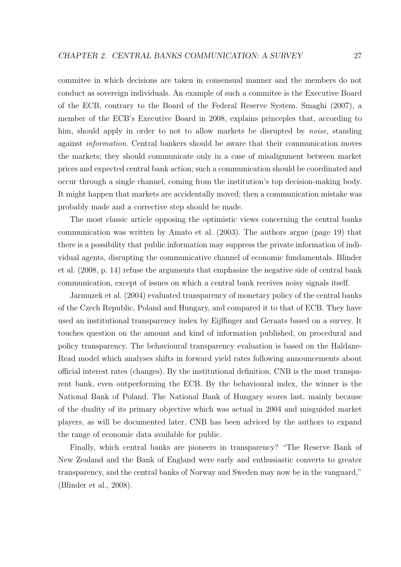commitee in which decisions are taken in consensual manner and the members do not conduct as sovereign individuals. An example of such a commitee is the Executive Board of the ECB, contrary to the Board of the Federal Reserve System. [Smaghi](#page-73-0) [\(2007\)](#page-73-0), a member of the ECB's Executive Board in 2008, explains princeples that, according to him, should apply in order to not to allow markets be disrupted by *noise*, standing against information. Central bankers should be aware that their communication moves the markets; they should communicate only in a case of misalignment between market prices and expected central bank action; such a communication should be coordinated and occur through a single channel, coming from the institution's top decision-making body. It might happen that markets are accidentally moved; then a communication mistake was probably made and a corrective step should be made.

The most classic article opposing the optimistic views concerning the central banks communication was written by [Amato et al.](#page-70-1) [\(2003\)](#page-70-1). The authors argue (page 19) that there is a possibility that public information may suppress the private information of individual agents, disrupting the communicative channel of economic fundamentals. [Blinder](#page-70-2) [et al.](#page-70-2) [\(2008,](#page-70-2) p. 14) refuse the arguments that emphasize the negative side of central bank communication, except of issues on which a central bank receives noisy signals itself.

[Jarmuzek et al.](#page-72-2) [\(2004\)](#page-72-2) evaluated transparency of monetary policy of the central banks of the Czech Republic, Poland and Hungary, and compared it to that of ECB. They have used an institutional transparency index by Eijffinger and Geraats based on a survey. It touches question on the amount and kind of information published, on procedural and policy transparency. The behavioural transparency evaluation is based on the Haldane-Read model which analyses shifts in forward yield rates following announcements about official interest rates (changes). By the institutional definition, CNB is the most transparent bank, even outperforming the ECB. By the behavioural index, the winner is the National Bank of Poland. The National Bank of Hungary scores last, mainly because of the duality of its primary objective which was actual in 2004 and misguided market players, as will be documented later. CNB has been adviced by the authors to expand the range of economic data available for public.

Finally, which central banks are pioneers in transparency? "The Reserve Bank of New Zealand and the Bank of England were early and enthusiastic converts to greater transparency, and the central banks of Norway and Sweden may now be in the vanguard," [\(Blinder et al.,](#page-70-2) [2008\)](#page-70-2).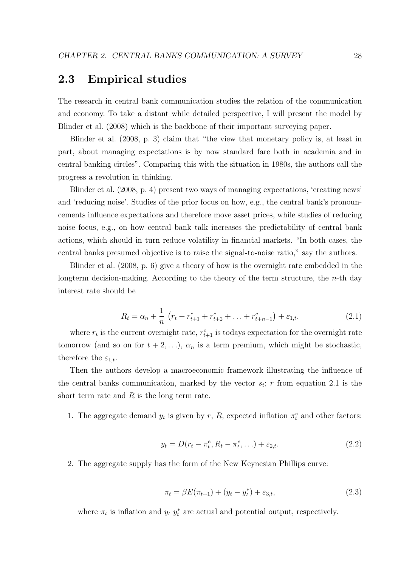### 2.3 Empirical studies

The research in central bank communication studies the relation of the communication and economy. To take a distant while detailed perspective, I will present the model by [Blinder et al.](#page-70-2) [\(2008\)](#page-70-2) which is the backbone of their important surveying paper.

[Blinder et al.](#page-70-2) [\(2008,](#page-70-2) p. 3) claim that "the view that monetary policy is, at least in part, about managing expectations is by now standard fare both in academia and in central banking circles". Comparing this with the situation in 1980s, the authors call the progress a revolution in thinking.

[Blinder et al.](#page-70-2) [\(2008,](#page-70-2) p. 4) present two ways of managing expectations, 'creating news' and 'reducing noise'. Studies of the prior focus on how, e.g., the central bank's pronouncements influence expectations and therefore move asset prices, while studies of reducing noise focus, e.g., on how central bank talk increases the predictability of central bank actions, which should in turn reduce volatility in financial markets. "In both cases, the central banks presumed objective is to raise the signal-to-noise ratio," say the authors.

<span id="page-38-0"></span>[Blinder et al.](#page-70-2) [\(2008,](#page-70-2) p. 6) give a theory of how is the overnight rate embedded in the longterm decision-making. According to the theory of the term structure, the  $n$ -th day interest rate should be

$$
R_t = \alpha_n + \frac{1}{n} \left( r_t + r_{t+1}^c + r_{t+2}^c + \ldots + r_{t+n-1}^c \right) + \varepsilon_{1,t},\tag{2.1}
$$

where  $r_t$  is the current overnight rate,  $r_{t+1}^c$  is todays expectation for the overnight rate tomorrow (and so on for  $t + 2,...$ ),  $\alpha_n$  is a term premium, which might be stochastic, therefore the  $\varepsilon_{1,t}$ .

Then the authors develop a macroeconomic framework illustrating the influence of the central banks communication, marked by the vector  $s_t$ ; r from equation [2.1](#page-38-0) is the short term rate and  $R$  is the long term rate.

<span id="page-38-1"></span>1. The aggregate demand  $y_t$  is given by r, R, expected inflation  $\pi_t^e$  and other factors:

$$
y_t = D(r_t - \pi_t^e, R_t - \pi_t^e, \ldots) + \varepsilon_{2,t}.
$$
 (2.2)

<span id="page-38-2"></span>2. The aggregate supply has the form of the New Keynesian Phillips curve:

$$
\pi_t = \beta E(\pi_{t+1}) + (y_t - y_t^*) + \varepsilon_{3,t},
$$
\n(2.3)

where  $\pi_t$  is inflation and  $y_t$   $y_t^*$  are actual and potential output, respectively.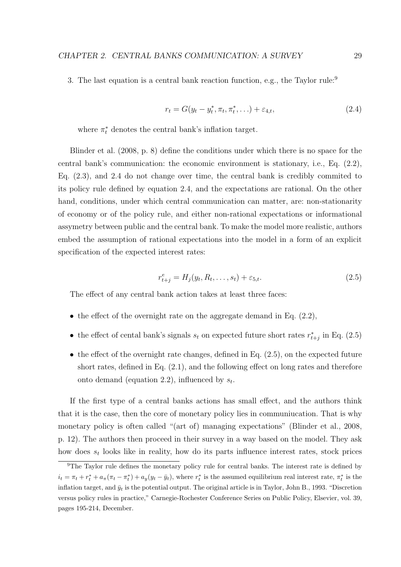<span id="page-39-1"></span>3. The last equation is a central bank reaction function, e.g., the Taylor rule:<sup>[9](#page-39-0)</sup>

$$
r_t = G(y_t - y_t^*, \pi_t, \pi_t^*, \ldots) + \varepsilon_{4,t},
$$
\n(2.4)

where  $\pi_t^*$  denotes the central bank's inflation target.

[Blinder et al.](#page-70-2) [\(2008,](#page-70-2) p. 8) define the conditions under which there is no space for the central bank's communication: the economic environment is stationary, i.e., Eq. [\(2.2\)](#page-38-1), Eq. [\(2.3\)](#page-38-2), and [2.4](#page-39-1) do not change over time, the central bank is credibly commited to its policy rule defined by equation [2.4,](#page-39-1) and the expectations are rational. On the other hand, conditions, under which central communication can matter, are: non-stationarity of economy or of the policy rule, and either non-rational expectations or informational assymetry between public and the central bank. To make the model more realistic, authors embed the assumption of rational expectations into the model in a form of an explicit specification of the expected interest rates:

$$
r_{t+j}^e = H_j(y_t, R_t, \dots, s_t) + \varepsilon_{5,t}.
$$
\n(2.5)

<span id="page-39-2"></span>The effect of any central bank action takes at least three faces:

- the effect of the overnight rate on the aggregate demand in Eq.  $(2.2)$ ,
- the effect of cental bank's signals  $s_t$  on expected future short rates  $r_{t+j}^*$  in Eq. [\(2.5\)](#page-39-2)
- $\bullet$  the effect of the overnight rate changes, defined in Eq.  $(2.5)$ , on the expected future short rates, defined in Eq. [\(2.1\)](#page-38-0), and the following effect on long rates and therefore onto demand (equation [2.2\)](#page-38-1), influenced by  $s_t$ .

If the first type of a central banks actions has small effect, and the authors think that it is the case, then the core of monetary policy lies in communiucation. That is why monetary policy is often called "(art of) managing expectations" [\(Blinder et al.,](#page-70-2) [2008,](#page-70-2) p. 12). The authors then proceed in their survey in a way based on the model. They ask how does  $s_t$  looks like in reality, how do its parts influence interest rates, stock prices

<span id="page-39-0"></span><sup>&</sup>lt;sup>9</sup>The Taylor rule defines the monetary policy rule for central banks. The interest rate is defined by  $i_t = \pi_t + r_t^* + a_\pi(\pi_t - \pi_t^*) + a_y(y_t - \bar{y}_t)$ , where  $r_t^*$  is the assumed equilibrium real interest rate,  $\pi_t^*$  is the inflation target, and  $\bar{y}_t$  is the potential output. The original article is in Taylor, John B., 1993. "Discretion versus policy rules in practice," Carnegie-Rochester Conference Series on Public Policy, Elsevier, vol. 39, pages 195-214, December.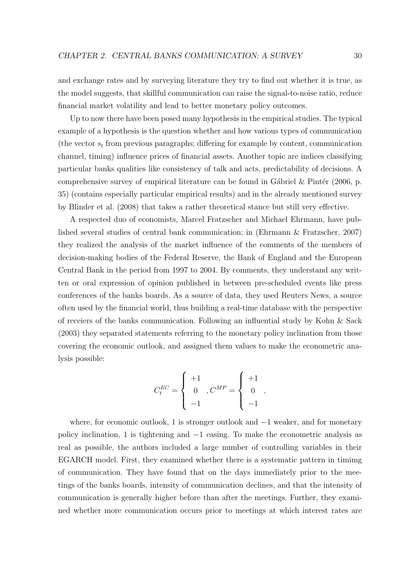and exchange rates and by surveying literature they try to find out whether it is true, as the model suggests, that skillful communication can raise the signal-to-noise ratio, reduce financial market volatility and lead to better monetary policy outcomes.

Up to now there have been posed many hypothesis in the empirical studies. The typical example of a hypothesis is the question whether and how various types of communication (the vector  $s_t$  from previous paragraphs; differing for example by content, communication channel, timing) influence prices of financial assets. Another topic are indices classifying particular banks qualities like consistency of talk and acts, predictability of decisions. A comprehensive survey of empirical literature can be found in Gábriel  $&$  Pintér [\(2006,](#page-71-1) p. 35) (contains especially particular empirical results) and in the already mentioned survey by [Blinder et al.](#page-70-2) [\(2008\)](#page-70-2) that takes a rather theoretical stance but still very effective.

A respected duo of economists, Marcel Fratzscher and Michael Ehrmann, have published several studies of central bank communication; in [\(Ehrmann & Fratzscher,](#page-71-0) [2007\)](#page-71-0) they realized the analysis of the market influence of the comments of the members of decision-making bodies of the Federal Reserve, the Bank of England and the European Central Bank in the period from 1997 to 2004. By comments, they understand any written or oral expression of opinion published in between pre-scheduled events like press conferences of the banks boards. As a source of data, they used Reuters News, a source often used by the financial world, thus building a real-time database with the perspective of receiers of the banks communication. Following an influential study by [Kohn & Sack](#page-72-3) [\(2003\)](#page-72-3) they separated statements referring to the monetary policy inclination from those covering the economic outlook, and assigned them values to make the econometric analysis possible:

$$
C_t^{EC} = \begin{cases} +1 & \\ 0 & , C^{MP} = \begin{cases} +1 & \\ 0 & , \\ -1 & \end{cases}
$$

where, for economic outlook, 1 is stronger outlook and −1 weaker, and for monetary policy inclination, 1 is tightening and −1 easing. To make the econometric analysis as real as possible, the authors included a large number of controlling variables in their EGARCH model. First, they examined whether there is a systematic pattern in timimg of communication. They have found that on the days immediately prior to the meetings of the banks boards, intensity of communication declines, and that the intensity of communication is generally higher before than after the meetings. Further, they examined whether more communication occurs prior to meetings at which interest rates are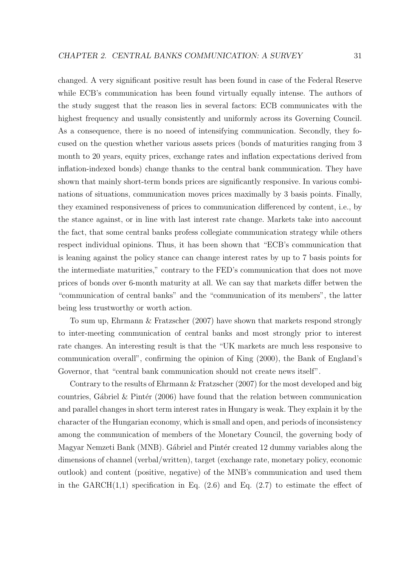changed. A very significant positive result has been found in case of the Federal Reserve while ECB's communication has been found virtually equally intense. The authors of the study suggest that the reason lies in several factors: ECB communicates with the highest frequency and usually consistently and uniformly across its Governing Council. As a consequence, there is no noeed of intensifying communication. Secondly, they focused on the question whether various assets prices (bonds of maturities ranging from 3 month to 20 years, equity prices, exchange rates and inflation expectations derived from inflation-indexed bonds) change thanks to the central bank communication. They have shown that mainly short-term bonds prices are significantly responsive. In various combinations of situations, communication moves prices maximally by 3 basis points. Finally, they examined responsiveness of prices to communication differenced by content, i.e., by the stance against, or in line with last interest rate change. Markets take into aaccount the fact, that some central banks profess collegiate communication strategy while others respect individual opinions. Thus, it has been shown that "ECB's communication that is leaning against the policy stance can change interest rates by up to 7 basis points for the intermediate maturities," contrary to the FED's communication that does not move prices of bonds over 6-month maturity at all. We can say that markets differ betwen the "communication of central banks" and the "communication of its members", the latter being less trustworthy or worth action.

To sum up, [Ehrmann & Fratzscher](#page-71-0) [\(2007\)](#page-71-0) have shown that markets respond strongly to inter-meeting communication of central banks and most strongly prior to interest rate changes. An interesting result is that the "UK markets are much less responsive to communication overall", confirming the opinion of [King](#page-72-0) [\(2000\)](#page-72-0), the Bank of England's Governor, that "central bank communication should not create news itself".

Contrary to the results of [Ehrmann & Fratzscher](#page-71-0) [\(2007\)](#page-71-0) for the most developed and big countries, Gábriel & Pintér [\(2006\)](#page-71-1) have found that the relation between communication and parallel changes in short term interest rates in Hungary is weak. They explain it by the character of the Hungarian economy, which is small and open, and periods of inconsistency among the communication of members of the Monetary Council, the governing body of Magyar Nemzeti Bank (MNB). Gábriel and Pintér created 12 dummy variables along the dimensions of channel (verbal/written), target (exchange rate, monetary policy, economic outlook) and content (positive, negative) of the MNB's communication and used them in the GARCH $(1,1)$  specification in Eq.  $(2.6)$  and Eq.  $(2.7)$  to estimate the effect of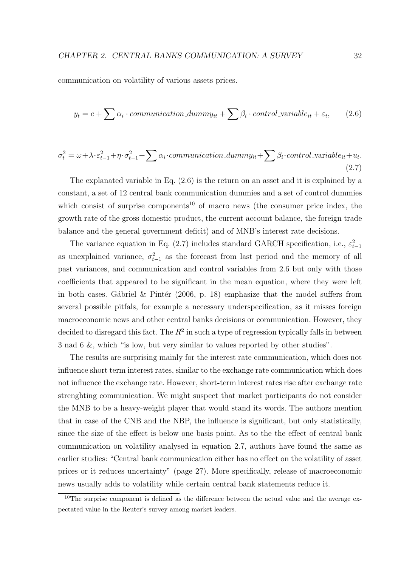<span id="page-42-0"></span>communication on volatility of various assets prices.

$$
y_t = c + \sum \alpha_i \cdot communication\_dummy_{it} + \sum \beta_i \cdot control\_variable_{it} + \varepsilon_t,
$$
 (2.6)

<span id="page-42-1"></span>
$$
\sigma_t^2 = \omega + \lambda \cdot \varepsilon_{t-1}^2 + \eta \cdot \sigma_{t-1}^2 + \sum \alpha_i \cdot communication\_dummy_{it} + \sum \beta_i \cdot control\_variable_{it} + u_t.
$$
\n(2.7)

The explanated variable in Eq. [\(2.6\)](#page-42-0) is the return on an asset and it is explained by a constant, a set of 12 central bank communication dummies and a set of control dummies which consist of surprise components<sup>[10](#page-42-2)</sup> of macro news (the consumer price index, the growth rate of the gross domestic product, the current account balance, the foreign trade balance and the general government deficit) and of MNB's interest rate decisions.

The variance equation in Eq. [\(2.7\)](#page-42-1) includes standard GARCH specification, i.e.,  $\varepsilon_{t-1}^2$ as unexplained variance,  $\sigma_{t-1}^2$  as the forecast from last period and the memory of all past variances, and communication and control variables from [2.6](#page-42-0) but only with those coefficients that appeared to be significant in the mean equation, where they were left in both cases. Gábriel & Pintér [\(2006,](#page-71-1) p. 18) emphasize that the model suffers from several possible pitfals, for example a necessary underspecification, as it misses foreign macroeconomic news and other central banks decisions or communication. However, they decided to disregard this fact. The  $R^2$  in such a type of regression typically falls in between 3 nad 6 &, which "is low, but very similar to values reported by other studies".

The results are surprising mainly for the interest rate communication, which does not influence short term interest rates, similar to the exchange rate communication which does not influence the exchange rate. However, short-term interest rates rise after exchange rate strenghting communication. We might suspect that market participants do not consider the MNB to be a heavy-weight player that would stand its words. The authors mention that in case of the CNB and the NBP, the influence is significant, but only statistically, since the size of the effect is below one basis point. As to the the effect of central bank communication on volatility analysed in equation [2.7,](#page-42-1) authors have found the same as earlier studies: "Central bank communication either has no effect on the volatility of asset prices or it reduces uncertainty" (page 27). More specifically, release of macroeconomic news usually adds to volatility while certain central bank statements reduce it.

<span id="page-42-2"></span> $10$ The surprise component is defined as the difference between the actual value and the average expectated value in the Reuter's survey among market leaders.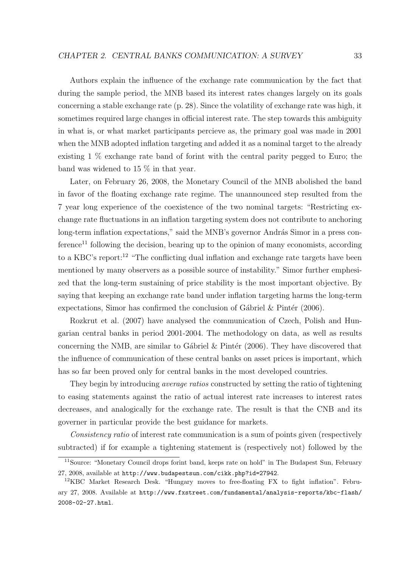Authors explain the influence of the exchange rate communication by the fact that during the sample period, the MNB based its interest rates changes largely on its goals concerning a stable exchange rate (p. 28). Since the volatility of exchange rate was high, it sometimes required large changes in official interest rate. The step towards this ambiguity in what is, or what market participants percieve as, the primary goal was made in 2001 when the MNB adopted inflation targeting and added it as a nominal target to the already existing 1 % exchange rate band of forint with the central parity pegged to Euro; the band was widened to 15 % in that year.

Later, on February 26, 2008, the Monetary Council of the MNB abolished the band in favor of the floating exchange rate regime. The unannounced step resulted from the 7 year long experience of the coexistence of the two nominal targets: "Restricting exchange rate fluctuations in an inflation targeting system does not contribute to anchoring long-term inflation expectations," said the MNB's governor András Simor in a press con $f$ erence<sup>[11](#page-43-0)</sup> following the decision, bearing up to the opinion of many economists, according to a KBC's report:[12](#page-43-1) "The conflicting dual inflation and exchange rate targets have been mentioned by many observers as a possible source of instability." Simor further emphesized that the long-term sustaining of price stability is the most important objective. By saying that keeping an exchange rate band under inflation targeting harms the long-term expectations, Simor has confirmed the conclusion of Gábriel & Pintér [\(2006\)](#page-71-1).

[Rozkrut et al.](#page-73-1) [\(2007\)](#page-73-1) have analysed the communication of Czech, Polish and Hungarian central banks in period 2001-2004. The methodology on data, as well as results concerning the NMB, are similar to Gábriel  $&$  Pintér [\(2006\)](#page-71-1). They have discovered that the influence of communication of these central banks on asset prices is important, which has so far been proved only for central banks in the most developed countries.

They begin by introducing average ratios constructed by setting the ratio of tightening to easing statements against the ratio of actual interest rate increases to interest rates decreases, and analogically for the exchange rate. The result is that the CNB and its governer in particular provide the best guidance for markets.

Consistency ratio of interest rate communication is a sum of points given (respectively subtracted) if for example a tightening statement is (respectively not) followed by the

<span id="page-43-0"></span><sup>&</sup>lt;sup>11</sup>Source: "Monetary Council drops forint band, keeps rate on hold" in The Budapest Sun, February 27, 2008, available at <http://www.budapestsun.com/cikk.php?id=27942>.

<span id="page-43-1"></span><sup>12</sup>KBC Market Research Desk. "Hungary moves to free-floating FX to fight inflation". February 27, 2008. Available at [http://www.fxstreet.com/fundamental/analysis-reports/kbc-flash/](http://www.fxstreet.com/fundamental/analysis-reports/kbc-flash/2008-02-27.html) [2008-02-27.html](http://www.fxstreet.com/fundamental/analysis-reports/kbc-flash/2008-02-27.html).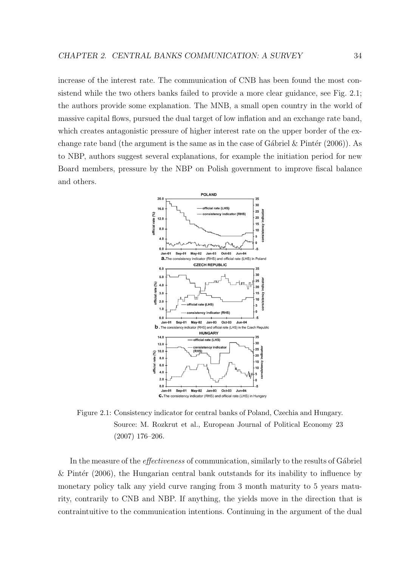increase of the interest rate. The communication of CNB has been found the most consistend while the two others banks failed to provide a more clear guidance, see Fig. [2.1;](#page-44-0) the authors provide some explanation. The MNB, a small open country in the world of massive capital flows, pursued the dual target of low inflation and an exchange rate band, which creates antagonistic pressure of higher interest rate on the upper border of the exchange rate band (the argument is the same as in the case of Gábriel  $&$  Pintér [\(2006\)](#page-71-1)). As to NBP, authors suggest several explanations, for example the initiation period for new Board members, pressure by the NBP on Polish government to improve fiscal balance and others.

<span id="page-44-0"></span>

Figure 2.1: Consistency indicator for central banks of Poland, Czechia and Hungary. Source: M. Rozkrut et al., European Journal of Political Economy 23 (2007) 176–206.

In the measure of the *effectiveness* of communication, similarly to the results of Gábriel & Pintér  $(2006)$ , the Hungarian central bank outstands for its inability to influence by monetary policy talk any yield curve ranging from 3 month maturity to 5 years maturity, contrarily to CNB and NBP. If anything, the yields move in the direction that is contraintuitive to the communication intentions. Continuing in the argument of the dual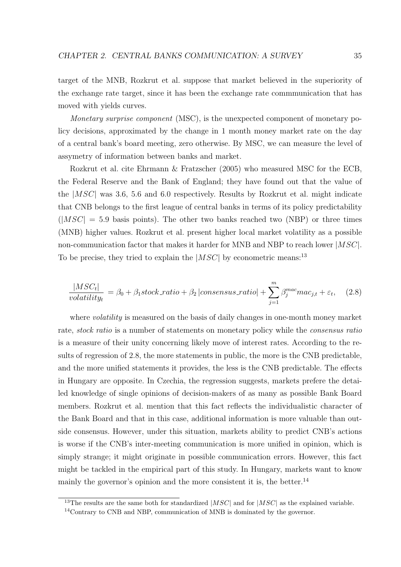target of the MNB, Rozkrut et al. suppose that market believed in the superiority of the exchange rate target, since it has been the exchange rate commmunication that has moved with yields curves.

Monetary surprise component (MSC), is the unexpected component of monetary policy decisions, approximated by the change in 1 month money market rate on the day of a central bank's board meeting, zero otherwise. By MSC, we can measure the level of assymetry of information between banks and market.

Rozkrut et al. cite [Ehrmann & Fratzscher](#page-71-2) [\(2005\)](#page-71-2) who measured MSC for the ECB, the Federal Reserve and the Bank of England; they have found out that the value of the |MSC| was 3.6, 5.6 and 6.0 respectively. Results by Rozkrut et al. might indicate that CNB belongs to the first league of central banks in terms of its policy predictability  $(|MSC| = 5.9$  basis points). The other two banks reached two (NBP) or three times (MNB) higher values. Rozkrut et al. present higher local market volatility as a possible non-communication factor that makes it harder for MNB and NBP to reach lower  $|MSC|$ . To be precise, they tried to explain the  $|MSC|$  by econometric means:<sup>[13](#page-45-0)</sup>

<span id="page-45-1"></span>
$$
\frac{|MSC_t|}{volatility_t} = \beta_0 + \beta_1 stock\_ratio + \beta_2 |consensus\_ratio| + \sum_{j=1}^{m} \beta_j^{mac} mac_{j,t} + \varepsilon_t,
$$
 (2.8)

where *volatility* is measured on the basis of daily changes in one-month money market rate, *stock ratio* is a number of statements on monetary policy while the *consensus ratio* is a measure of their unity concerning likely move of interest rates. According to the results of regression of [2.8,](#page-45-1) the more statements in public, the more is the CNB predictable, and the more unified statements it provides, the less is the CNB predictable. The effects in Hungary are opposite. In Czechia, the regression suggests, markets prefere the detailed knowledge of single opinions of decision-makers of as many as possible Bank Board members. Rozkrut et al. mention that this fact reflects the individualistic character of the Bank Board and that in this case, additional information is more valuable than outside consensus. However, under this situation, markets ability to predict CNB's actions is worse if the CNB's inter-meeting communication is more unified in opinion, which is simply strange; it might originate in possible communication errors. However, this fact might be tackled in the empirical part of this study. In Hungary, markets want to know mainly the governor's opinion and the more consistent it is, the better.<sup>[14](#page-45-2)</sup>

<span id="page-45-0"></span><sup>&</sup>lt;sup>13</sup>The results are the same both for standardized  $|MSC|$  and for  $|MSC|$  as the explained variable.

<span id="page-45-2"></span><sup>14</sup>Contrary to CNB and NBP, communication of MNB is dominated by the governor.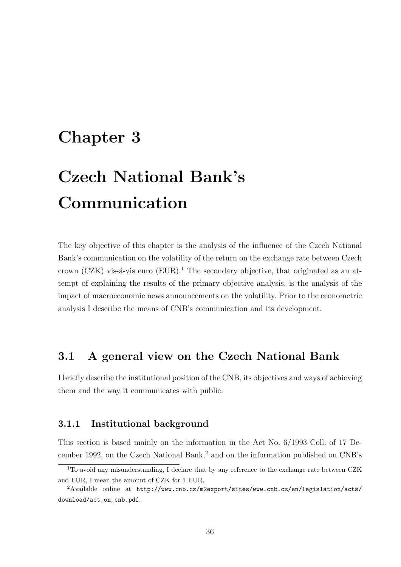### Chapter 3

# Czech National Bank's Communication

The key objective of this chapter is the analysis of the influence of the Czech National Bank's communication on the volatility of the return on the exchange rate between Czech crown (CZK) vis- $\acute{a}$ -vis euro (EUR).<sup>[1](#page-46-0)</sup> The secondary objective, that originated as an attempt of explaining the results of the primary objective analysis, is the analysis of the impact of macroeconomic news announcements on the volatility. Prior to the econometric analysis I describe the means of CNB's communication and its development.

### 3.1 A general view on the Czech National Bank

I briefly describe the institutional position of the CNB, its objectives and ways of achieving them and the way it communicates with public.

#### 3.1.1 Institutional background

This section is based mainly on the information in the Act No. 6/1993 Coll. of 17 De-cember 199[2](#page-46-1), on the Czech National Bank,<sup>2</sup> and on the information published on CNB's

<span id="page-46-0"></span><sup>&</sup>lt;sup>1</sup>To avoid any misunderstanding, I declare that by any reference to the exchange rate between CZK and EUR, I mean the amount of CZK for 1 EUR.

<span id="page-46-1"></span><sup>2</sup>Available online at [http://www.cnb.cz/m2export/sites/www.cnb.cz/en/legislation/acts/](http://www.cnb.cz/m2export/sites/www.cnb.cz/en/legislation/acts/download/act_on_cnb.pdf) [download/act\\_on\\_cnb.pdf](http://www.cnb.cz/m2export/sites/www.cnb.cz/en/legislation/acts/download/act_on_cnb.pdf).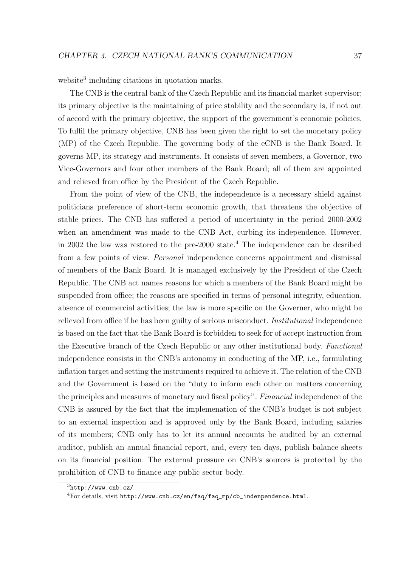website<sup>[3](#page-47-0)</sup> including citations in quotation marks.

The CNB is the central bank of the Czech Republic and its financial market supervisor; its primary objective is the maintaining of price stability and the secondary is, if not out of accord with the primary objective, the support of the government's economic policies. To fulfil the primary objective, CNB has been given the right to set the monetary policy (MP) of the Czech Republic. The governing body of the eCNB is the Bank Board. It governs MP, its strategy and instruments. It consists of seven members, a Governor, two Vice-Governors and four other members of the Bank Board; all of them are appointed and relieved from office by the President of the Czech Republic.

From the point of view of the CNB, the independence is a necessary shield against politicians preference of short-term economic growth, that threatens the objective of stable prices. The CNB has suffered a period of uncertainty in the period 2000-2002 when an amendment was made to the CNB Act, curbing its independence. However, in 2002 the law was restored to the pre-2000 state.[4](#page-47-1) The independence can be desribed from a few points of view. Personal independence concerns appointment and dismissal of members of the Bank Board. It is managed exclusively by the President of the Czech Republic. The CNB act names reasons for which a members of the Bank Board might be suspended from office; the reasons are specified in terms of personal integrity, education, absence of commercial activities; the law is more specific on the Governer, who might be relieved from office if he has been guilty of serious misconduct. Institutional independence is based on the fact that the Bank Board is forbidden to seek for of accept instruction from the Executive branch of the Czech Republic or any other institutional body. Functional independence consists in the CNB's autonomy in conducting of the MP, i.e., formulating inflation target and setting the instruments required to achieve it. The relation of the CNB and the Government is based on the "duty to inform each other on matters concerning the principles and measures of monetary and fiscal policy". Financial independence of the CNB is assured by the fact that the implemenation of the CNB's budget is not subject to an external inspection and is approved only by the Bank Board, including salaries of its members; CNB only has to let its annual accounts be audited by an external auditor, publish an annual financial report, and, every ten days, publish balance sheets on its financial position. The external pressure on CNB's sources is protected by the prohibition of CNB to finance any public sector body.

<span id="page-47-1"></span><span id="page-47-0"></span> $3$ <http://www.cnb.cz/>

 $4$ For details, visit [http://www.cnb.cz/en/faq/faq\\_mp/cb\\_indenpendence.html](http://www.cnb.cz/en/faq/faq_mp/cb_indenpendence.html).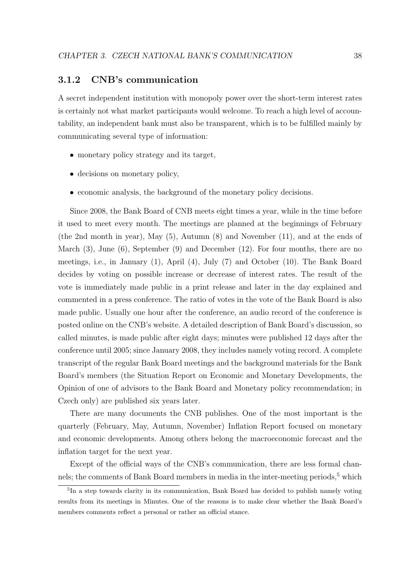#### 3.1.2 CNB's communication

A secret independent institution with monopoly power over the short-term interest rates is certainly not what market participants would welcome. To reach a high level of accountability, an independent bank must also be transparent, which is to be fulfilled mainly by communicating several type of information:

- monetary policy strategy and its target,
- decisions on monetary policy,
- economic analysis, the background of the monetary policy decisions.

Since 2008, the Bank Board of CNB meets eight times a year, while in the time before it used to meet every month. The meetings are planned at the beginnings of February (the 2nd month in year), May (5), Autumn (8) and November (11), and at the ends of March (3), June (6), September (9) and December (12). For four months, there are no meetings, i.e., in January (1), April (4), July (7) and October (10). The Bank Board decides by voting on possible increase or decrease of interest rates. The result of the vote is immediately made public in a print release and later in the day explained and commented in a press conference. The ratio of votes in the vote of the Bank Board is also made public. Usually one hour after the conference, an audio record of the conference is posted online on the CNB's website. A detailed description of Bank Board's discussion, so called minutes, is made public after eight days; minutes were published 12 days after the conference until 2005; since January 2008, they includes namely voting record. A complete transcript of the regular Bank Board meetings and the background materials for the Bank Board's members (the Situation Report on Economic and Monetary Developments, the Opinion of one of advisors to the Bank Board and Monetary policy recommendation; in Czech only) are published six years later.

There are many documents the CNB publishes. One of the most important is the quarterly (February, May, Autumn, November) Inflation Report focused on monetary and economic developments. Among others belong the macroeconomic forecast and the inflation target for the next year.

Except of the official ways of the CNB's communication, there are less formal channels; the comments of Bank Board members in media in the inter-meeting periods, $5$  which

<span id="page-48-0"></span><sup>&</sup>lt;sup>5</sup>In a step towards clarity in its communication, Bank Board has decided to publish namely voting results from its meetings in Minutes. One of the reasons is to make clear whether the Bank Board's members comments reflect a personal or rather an official stance.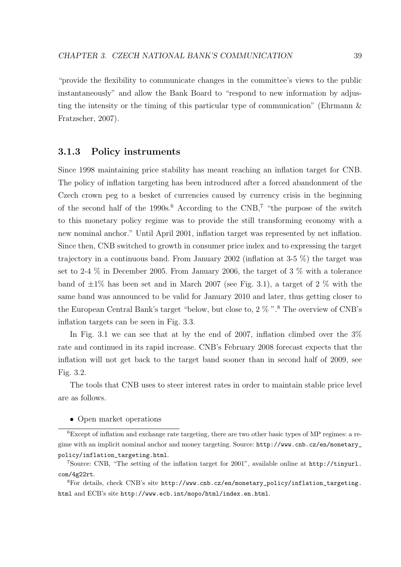"provide the flexibility to communicate changes in the committee's views to the public instantaneously" and allow the Bank Board to "respond to new information by adjusting the intensity or the timing of this particular type of communication" [\(Ehrmann &](#page-71-0) [Fratzscher,](#page-71-0) [2007\)](#page-71-0).

#### 3.1.3 Policy instruments

Since 1998 maintaining price stability has meant reaching an inflation target for CNB. The policy of inflation targeting has been introduced after a forced abandonment of the Czech crown peg to a besket of currencies caused by currency crisis in the beginning of the second half of the  $1990s<sup>6</sup>$  $1990s<sup>6</sup>$  $1990s<sup>6</sup>$  According to the CNB,<sup>[7](#page-49-1)</sup> "the purpose of the switch to this monetary policy regime was to provide the still transforming economy with a new nominal anchor." Until April 2001, inflation target was represented by net inflation. Since then, CNB switched to growth in consumer price index and to expressing the target trajectory in a continuous band. From January 2002 (inflation at 3-5 %) the target was set to 2-4 % in December 2005. From January 2006, the target of 3 % with a tolerance band of  $\pm 1\%$  has been set and in March 2007 (see Fig. [3.1\)](#page-50-0), a target of 2  $\%$  with the same band was announced to be valid for January 2010 and later, thus getting closer to the European Central Bank's target "below, but close to,  $2\%$ ".<sup>[8](#page-49-2)</sup> The overview of CNB's inflation targets can be seen in Fig. [3.3.](#page-51-0)

In Fig. [3.1](#page-50-0) we can see that at by the end of 2007, inflation climbed over the  $3\%$ rate and continued in its rapid increase. CNB's February 2008 forecast expects that the inflation will not get back to the target band sooner than in second half of 2009, see Fig. [3.2.](#page-50-1)

The tools that CNB uses to steer interest rates in order to maintain stable price level are as follows.

<span id="page-49-0"></span>• Open market operations

<sup>6</sup>Except of inflation and exchange rate targeting, there are two other basic types of MP regimes: a regime with an implicit nominal anchor and money targeting. Source: [http://www.cnb.cz/en/monetary\\_](http://www.cnb.cz/en/monetary_policy/inflation_targeting.html) [policy/inflation\\_targeting.html](http://www.cnb.cz/en/monetary_policy/inflation_targeting.html).

<span id="page-49-1"></span><sup>7</sup>Source: CNB, "The setting of the inflation target for 2001", available online at [http://tinyurl.](http://tinyurl.com/4g22rt) [com/4g22rt](http://tinyurl.com/4g22rt).

<span id="page-49-2"></span><sup>8</sup>For details, check CNB's site [http://www.cnb.cz/en/monetary\\_policy/inflation\\_targeting.](http://www.cnb.cz/en/monetary_policy/inflation_targeting.html) [html](http://www.cnb.cz/en/monetary_policy/inflation_targeting.html) and ECB's site <http://www.ecb.int/mopo/html/index.en.html>.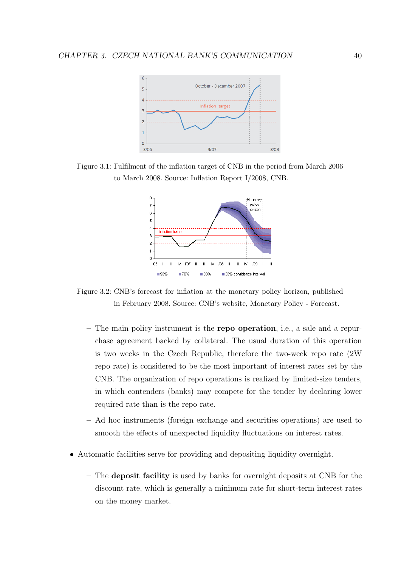<span id="page-50-0"></span>

<span id="page-50-1"></span>Figure 3.1: Fulfilment of the inflation target of CNB in the period from March 2006 to March 2008. Source: Inflation Report I/2008, CNB.



Figure 3.2: CNB's forecast for inflation at the monetary policy horizon, published in February 2008. Source: CNB's website, Monetary Policy - Forecast.

- The main policy instrument is the repo operation, i.e., a sale and a repurchase agreement backed by collateral. The usual duration of this operation is two weeks in the Czech Republic, therefore the two-week repo rate (2W repo rate) is considered to be the most important of interest rates set by the CNB. The organization of repo operations is realized by limited-size tenders, in which contenders (banks) may compete for the tender by declaring lower required rate than is the repo rate.
- Ad hoc instruments (foreign exchange and securities operations) are used to smooth the effects of unexpected liquidity fluctuations on interest rates.
- Automatic facilities serve for providing and depositing liquidity overnight.
	- The deposit facility is used by banks for overnight deposits at CNB for the discount rate, which is generally a minimum rate for short-term interest rates on the money market.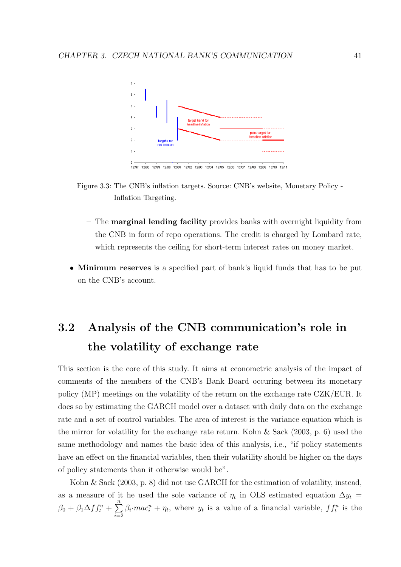<span id="page-51-0"></span>

12/02 12/03 12/04 12/05 12/06 12/07 12/98 12/99 12/00 12/01 12/08 12/09 12/10 12/1 12/97



- The marginal lending facility provides banks with overnight liquidity from the CNB in form of repo operations. The credit is charged by Lombard rate, which represents the ceiling for short-term interest rates on money market.
- Minimum reserves is a specified part of bank's liquid funds that has to be put on the CNB's account.

## 3.2 Analysis of the CNB communication's role in the volatility of exchange rate

This section is the core of this study. It aims at econometric analysis of the impact of comments of the members of the CNB's Bank Board occuring between its monetary policy (MP) meetings on the volatility of the return on the exchange rate CZK/EUR. It does so by estimating the GARCH model over a dataset with daily data on the exchange rate and a set of control variables. The area of interest is the variance equation which is the mirror for volatility for the exchange rate return. Kohn  $\&$  Sack [\(2003,](#page-72-3) p. 6) used the same methodology and names the basic idea of this analysis, i.e., "if policy statements have an effect on the financial variables, then their volatility should be higher on the days of policy statements than it otherwise would be".

[Kohn & Sack](#page-72-3) [\(2003,](#page-72-3) p. 8) did not use GARCH for the estimation of volatility, instead, as a measure of it he used the sole variance of  $\eta_t$  in OLS estimated equation  $\Delta y_t =$  $\beta_0 + \beta_1 \Delta f f_t^u + \sum_{n=1}^{\infty}$  $i=2$  $\beta_i$ · $mac_i^u + \eta_t$ , where  $y_t$  is a value of a financial variable,  $ff_t^u$  is the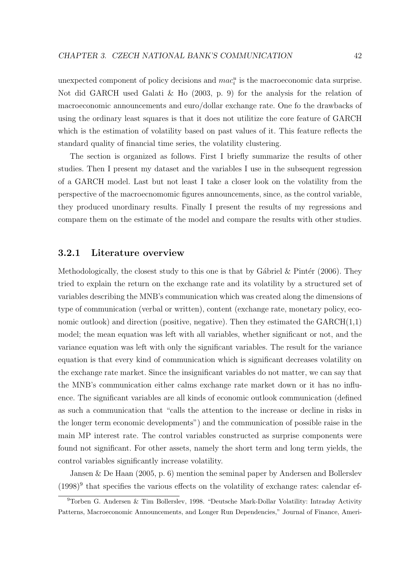unexpected component of policy decisions and  $mac_i^u$  is the macroeconomic data surprise. Not did GARCH used [Galati & Ho](#page-71-3) [\(2003,](#page-71-3) p. 9) for the analysis for the relation of macroeconomic announcements and euro/dollar exchange rate. One fo the drawbacks of using the ordinary least squares is that it does not utilitize the core feature of GARCH which is the estimation of volatility based on past values of it. This feature reflects the standard quality of financial time series, the volatility clustering.

The section is organized as follows. First I briefly summarize the results of other studies. Then I present my dataset and the variables I use in the subsequent regression of a GARCH model. Last but not least I take a closer look on the volatility from the perspective of the macroecnomomic figures announcements, since, as the control variable, they produced unordinary results. Finally I present the results of my regressions and compare them on the estimate of the model and compare the results with other studies.

#### 3.2.1 Literature overview

Methodologically, the closest study to this one is that by Gábriel & Pintér [\(2006\)](#page-71-1). They tried to explain the return on the exchange rate and its volatility by a structured set of variables describing the MNB's communication which was created along the dimensions of type of communication (verbal or written), content (exchange rate, monetary policy, economic outlook) and direction (positive, negative). Then they estimated the  $GARCH(1,1)$ model; the mean equation was left with all variables, whether significant or not, and the variance equation was left with only the significant variables. The result for the variance equation is that every kind of communication which is significant decreases volatility on the exchange rate market. Since the insignificant variables do not matter, we can say that the MNB's communication either calms exchange rate market down or it has no influence. The significant variables are all kinds of economic outlook communication (defined as such a communication that "calls the attention to the increase or decline in risks in the longer term economic developments") and the communication of possible raise in the main MP interest rate. The control variables constructed as surprise components were found not significant. For other assets, namely the short term and long term yields, the control variables significantly increase volatility.

[Jansen & De Haan](#page-71-4) [\(2005,](#page-71-4) p. 6) mention the seminal paper by Andersen and Bollerslev  $(1998)^9$  $(1998)^9$  $(1998)^9$  that specifies the various effects on the volatility of exchange rates: calendar ef-

<span id="page-52-0"></span><sup>9</sup>Torben G. Andersen & Tim Bollerslev, 1998. "Deutsche Mark-Dollar Volatility: Intraday Activity Patterns, Macroeconomic Announcements, and Longer Run Dependencies," Journal of Finance, Ameri-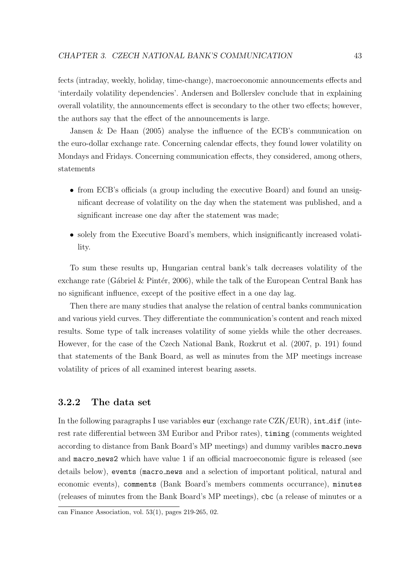fects (intraday, weekly, holiday, time-change), macroeconomic announcements effects and 'interdaily volatility dependencies'. Andersen and Bollerslev conclude that in explaining overall volatility, the announcements effect is secondary to the other two effects; however, the authors say that the effect of the announcements is large.

[Jansen & De Haan](#page-71-4) [\(2005\)](#page-71-4) analyse the influence of the ECB's communication on the euro-dollar exchange rate. Concerning calendar effects, they found lower volatility on Mondays and Fridays. Concerning communication effects, they considered, among others, statements

- from ECB's officials (a group including the executive Board) and found an unsignificant decrease of volatility on the day when the statement was published, and a significant increase one day after the statement was made;
- solely from the Executive Board's members, which insignificantly increased volatility.

To sum these results up, Hungarian central bank's talk decreases volatility of the exchange rate (Gábriel & Pintér, [2006\)](#page-71-1), while the talk of the European Central Bank has no significant influence, except of the positive effect in a one day lag.

Then there are many studies that analyse the relation of central banks communication and various yield curves. They differentiate the communication's content and reach mixed results. Some type of talk increases volatility of some yields while the other decreases. However, for the case of the Czech National Bank, [Rozkrut et al.](#page-73-1) [\(2007,](#page-73-1) p. 191) found that statements of the Bank Board, as well as minutes from the MP meetings increase volatility of prices of all examined interest bearing assets.

#### 3.2.2 The data set

In the following paragraphs I use variables  $eur$  (exchange rate  $CZK/EUR$ ), int\_dif (interest rate differential between 3M Euribor and Pribor rates), timing (comments weighted according to distance from Bank Board's MP meetings) and dummy varibles macro news and macro news2 which have value 1 if an official macroeconomic figure is released (see details below), events (macro news and a selection of important political, natural and economic events), comments (Bank Board's members comments occurrance), minutes (releases of minutes from the Bank Board's MP meetings), cbc (a release of minutes or a

can Finance Association, vol. 53(1), pages 219-265, 02.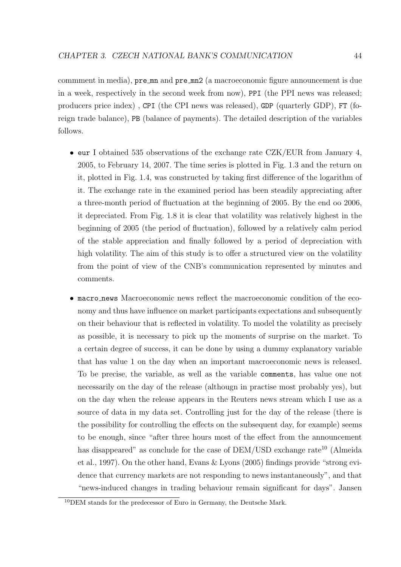commment in media), pre mn and pre mn2 (a macroeconomic figure announcement is due in a week, respectively in the second week from now), PPI (the PPI news was released; producers price index) , CPI (the CPI news was released), GDP (quarterly GDP), FT (foreign trade balance), PB (balance of payments). The detailed description of the variables follows.

- eur I obtained 535 observations of the exchange rate CZK/EUR from January 4, 2005, to February 14, 2007. The time series is plotted in Fig. [1.3](#page-27-0) and the return on it, plotted in Fig. [1.4,](#page-28-0) was constructed by taking first difference of the logarithm of it. The exchange rate in the examined period has been steadily appreciating after a three-month period of fluctuation at the beginning of 2005. By the end oo 2006, it depreciated. From Fig. [1.8](#page-31-0) it is clear that volatility was relatively highest in the beginning of 2005 (the period of fluctuation), followed by a relatively calm period of the stable appreciation and finally followed by a period of depreciation with high volatility. The aim of this study is to offer a structured view on the volatility from the point of view of the CNB's communication represented by minutes and comments.
- macro news Macroeconomic news reflect the macroeconomic condition of the economy and thus have influence on market participants expectations and subsequently on their behaviour that is reflected in volatility. To model the volatility as precisely as possible, it is necessary to pick up the moments of surprise on the market. To a certain degree of success, it can be done by using a dummy explanatory variable that has value 1 on the day when an important macroeconomic news is released. To be precise, the variable, as well as the variable comments, has value one not necessarily on the day of the release (althougn in practise most probably yes), but on the day when the release appears in the Reuters news stream which I use as a source of data in my data set. Controlling just for the day of the release (there is the possibility for controlling the effects on the subsequent day, for example) seems to be enough, since "after three hours most of the effect from the announcement has disappeared" as conclude for the case of  $DEM/USD$  exchange rate<sup>[10](#page-54-0)</sup> [\(Almeida](#page-70-3) [et al.,](#page-70-3) [1997\)](#page-70-3). On the other hand, [Evans & Lyons](#page-71-5) [\(2005\)](#page-71-5) findings provide "strong evidence that currency markets are not responding to news instantaneously", and that "news-induced changes in trading behaviour remain significant for days". [Jansen](#page-71-4)

<span id="page-54-0"></span><sup>10</sup>[DEM stands for the predecessor of Euro in Germany, the Deutsche Mark.](#page-71-4)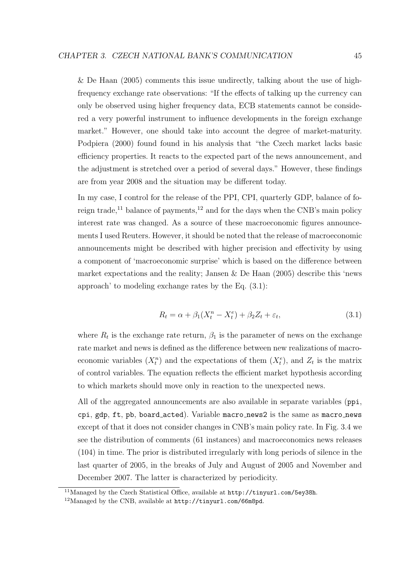[& De Haan](#page-71-4)  $(2005)$  comments this issue undirectly, talking about the use of highfrequency exchange rate observations: "If the effects of talking up the currency can only be observed using higher frequency data, ECB statements cannot be considered a very powerful instrument to influence developments in the foreign exchange market." However, one should take into account the degree of market-maturity. [Podpiera](#page-72-4) [\(2000\)](#page-72-4) found found in his analysis that "the Czech market lacks basic efficiency properties. It reacts to the expected part of the news announcement, and the adjustment is stretched over a period of several days." However, these findings are from year 2008 and the situation may be different today.

In my case, I control for the release of the PPI, CPI, quarterly GDP, balance of fo-reign trade,<sup>[11](#page-55-0)</sup> balance of payments,<sup>[12](#page-55-1)</sup> and for the days when the CNB's main policy interest rate was changed. As a source of these macroeconomic figures announcements I used Reuters. However, it should be noted that the release of macroeconomic announcements might be described with higher precision and effectivity by using a component of 'macroeconomic surprise' which is based on the difference between market expectations and the reality; Jansen  $\&$  De Haan [\(2005\)](#page-71-4) describe this 'news approach' to modeling exchange rates by the Eq. [\(3.1\)](#page-55-2):

$$
R_t = \alpha + \beta_1 (X_t^n - X_t^e) + \beta_2 Z_t + \varepsilon_t, \tag{3.1}
$$

<span id="page-55-2"></span>where  $R_t$  is the exchange rate return,  $\beta_1$  is the parameter of news on the exchange rate market and news is defined as the difference between new realizations of macroeconomic variables  $(X_t^n)$  and the expectations of them  $(X_t^e)$ , and  $Z_t$  is the matrix of control variables. The equation reflects the efficient market hypothesis according to which markets should move only in reaction to the unexpected news.

All of the aggregated announcements are also available in separate variables (ppi, cpi, gdp, ft, pb, board acted). Variable macro news2 is the same as macro news except of that it does not consider changes in CNB's main policy rate. In Fig. [3.4](#page-56-0) we see the distribution of comments (61 instances) and macroeconomics news releases (104) in time. The prior is distributed irregularly with long periods of silence in the last quarter of 2005, in the breaks of July and August of 2005 and November and December 2007. The latter is characterized by periodicity.

<span id="page-55-0"></span><sup>&</sup>lt;sup>11</sup>Managed by the Czech Statistical Office, available at  $http://tinyul.com/5ev38h$ .

<span id="page-55-1"></span><sup>12</sup>Managed by the CNB, available at <http://tinyurl.com/66m8pd>.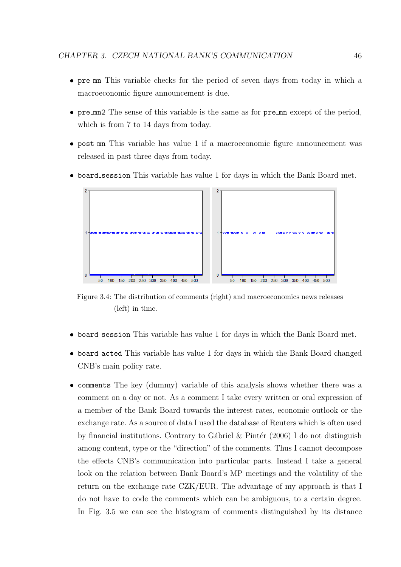- pre mn This variable checks for the period of seven days from today in which a macroeconomic figure announcement is due.
- pre mn2 The sense of this variable is the same as for pre mn except of the period, which is from 7 to 14 days from today.
- post mn This variable has value 1 if a macroeconomic figure announcement was released in past three days from today.
- <span id="page-56-0"></span>• board session This variable has value 1 for days in which the Bank Board met.



Figure 3.4: The distribution of comments (right) and macroeconomics news releases (left) in time.

- board session This variable has value 1 for days in which the Bank Board met.
- board acted This variable has value 1 for days in which the Bank Board changed CNB's main policy rate.
- comments The key (dummy) variable of this analysis shows whether there was a comment on a day or not. As a comment I take every written or oral expression of a member of the Bank Board towards the interest rates, economic outlook or the exchange rate. As a source of data I used the database of Reuters which is often used by financial institutions. Contrary to Gábriel & Pintér [\(2006\)](#page-71-1) I do not distinguish among content, type or the "direction" of the comments. Thus I cannot decompose the effects CNB's communication into particular parts. Instead I take a general look on the relation between Bank Board's MP meetings and the volatility of the return on the exchange rate CZK/EUR. The advantage of my approach is that I do not have to code the comments which can be ambiguous, to a certain degree. In Fig. [3.5](#page-57-0) we can see the histogram of comments distinguished by its distance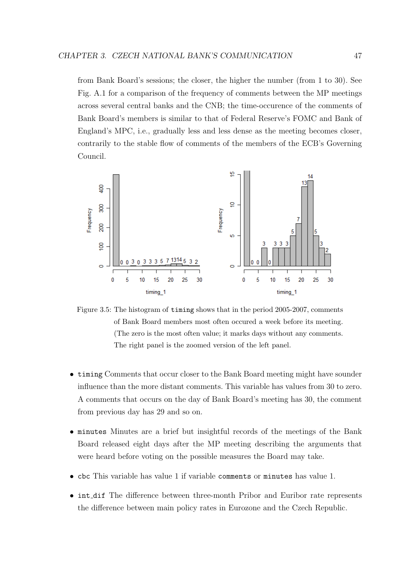from Bank Board's sessions; the closer, the higher the number (from 1 to 30). See Fig. [A.1](#page-75-0) for a comparison of the frequency of comments between the MP meetings across several central banks and the CNB; the time-occurence of the comments of Bank Board's members is similar to that of Federal Reserve's FOMC and Bank of England's MPC, i.e., gradually less and less dense as the meeting becomes closer, contrarily to the stable flow of comments of the members of the ECB's Governing Council.

<span id="page-57-0"></span>

Figure 3.5: The histogram of timing shows that in the period 2005-2007, comments of Bank Board members most often occured a week before its meeting. (The zero is the most often value; it marks days without any comments. The right panel is the zoomed version of the left panel.

- timing Comments that occur closer to the Bank Board meeting might have sounder influence than the more distant comments. This variable has values from 30 to zero. A comments that occurs on the day of Bank Board's meeting has 30, the comment from previous day has 29 and so on.
- minutes Minutes are a brief but insightful records of the meetings of the Bank Board released eight days after the MP meeting describing the arguments that were heard before voting on the possible measures the Board may take.
- cbc This variable has value 1 if variable comments or minutes has value 1.
- int dif The difference between three-month Pribor and Euribor rate represents the difference between main policy rates in Eurozone and the Czech Republic.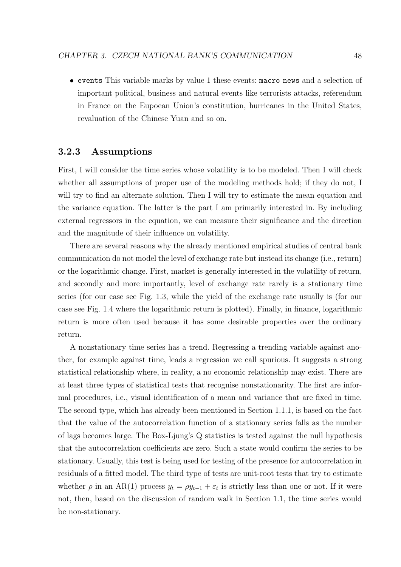• events This variable marks by value 1 these events: macro news and a selection of important political, business and natural events like terrorists attacks, referendum in France on the Eupoean Union's constitution, hurricanes in the United States, revaluation of the Chinese Yuan and so on.

#### 3.2.3 Assumptions

First, I will consider the time series whose volatility is to be modeled. Then I will check whether all assumptions of proper use of the modeling methods hold; if they do not, I will try to find an alternate solution. Then I will try to estimate the mean equation and the variance equation. The latter is the part I am primarily interested in. By including external regressors in the equation, we can measure their significance and the direction and the magnitude of their influence on volatility.

There are several reasons why the already mentioned empirical studies of central bank communication do not model the level of exchange rate but instead its change (i.e., return) or the logarithmic change. First, market is generally interested in the volatility of return, and secondly and more importantly, level of exchange rate rarely is a stationary time series (for our case see Fig. [1.3,](#page-27-0) while the yield of the exchange rate usually is (for our case see Fig. [1.4](#page-28-0) where the logarithmic return is plotted). Finally, in finance, logarithmic return is more often used because it has some desirable properties over the ordinary return.

A nonstationary time series has a trend. Regressing a trending variable against another, for example against time, leads a regression we call spurious. It suggests a strong statistical relationship where, in reality, a no economic relationship may exist. There are at least three types of statistical tests that recognise nonstationarity. The first are informal procedures, i.e., visual identification of a mean and variance that are fixed in time. The second type, which has already been mentioned in Section [1.1.1,](#page-14-0) is based on the fact that the value of the autocorrelation function of a stationary series falls as the number of lags becomes large. The Box-Ljung's Q statistics is tested against the null hypothesis that the autocorrelation coefficients are zero. Such a state would confirm the series to be stationary. Usually, this test is being used for testing of the presence for autocorrelation in residuals of a fitted model. The third type of tests are unit-root tests that try to estimate whether  $\rho$  in an AR(1) process  $y_t = \rho y_{t-1} + \varepsilon_t$  is strictly less than one or not. If it were not, then, based on the discussion of random walk in Section [1.1,](#page-13-0) the time series would be non-stationary.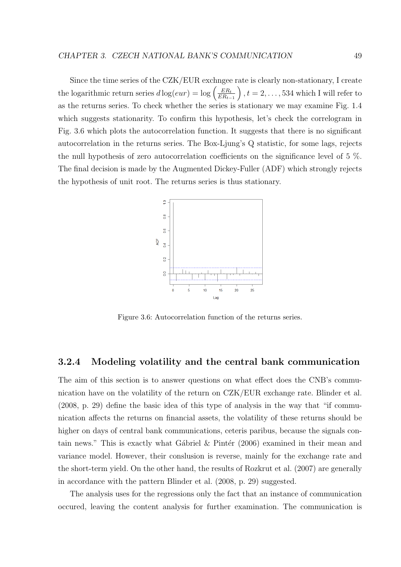Since the time series of the CZK/EUR exchngee rate is clearly non-stationary, I create the logarithmic return series  $d \log(eur) = \log \left( \frac{ER_t}{ER_t} \right)$  $ER_{t-1}$  $\big), t = 2, \ldots, 534$  which I will refer to as the returns series. To check whether the series is stationary we may examine Fig. [1.4](#page-28-0) which suggests stationarity. To confirm this hypothesis, let's check the correlogram in Fig. [3.6](#page-59-0) which plots the autocorrelation function. It suggests that there is no significant autocorrelation in the returns series. The Box-Ljung's Q statistic, for some lags, rejects the null hypothesis of zero autocorrelation coefficients on the significance level of 5 %. The final decision is made by the Augmented Dickey-Fuller (ADF) which strongly rejects the hypothesis of unit root. The returns series is thus stationary.

<span id="page-59-0"></span>

Figure 3.6: Autocorrelation function of the returns series.

#### 3.2.4 Modeling volatility and the central bank communication

The aim of this section is to answer questions on what effect does the CNB's communication have on the volatility of the return on CZK/EUR exchange rate. [Blinder et al.](#page-70-2) [\(2008,](#page-70-2) p. 29) define the basic idea of this type of analysis in the way that "if communication affects the returns on financial assets, the volatility of these returns should be higher on days of central bank communications, ceteris paribus, because the signals contain news." This is exactly what Gábriel & Pintér  $(2006)$  examined in their mean and variance model. However, their conslusion is reverse, mainly for the exchange rate and the short-term yield. On the other hand, the results of [Rozkrut et al.](#page-73-1) [\(2007\)](#page-73-1) are generally in accordance with the pattern [Blinder et al.](#page-70-2) [\(2008,](#page-70-2) p. 29) suggested.

The analysis uses for the regressions only the fact that an instance of communication occured, leaving the content analysis for further examination. The communication is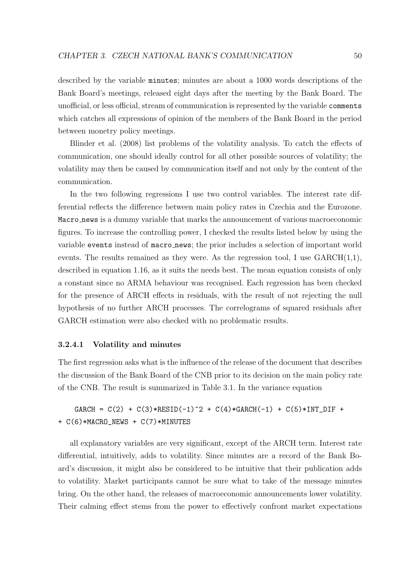described by the variable minutes; minutes are about a 1000 words descriptions of the Bank Board's meetings, released eight days after the meeting by the Bank Board. The unofficial, or less official, stream of communication is represented by the variable comments which catches all expressions of opinion of the members of the Bank Board in the period between monetry policy meetings.

[Blinder et al.](#page-70-2) [\(2008\)](#page-70-2) list problems of the volatility analysis. To catch the effects of communication, one should ideally control for all other possible sources of volatility; the volatility may then be caused by communication itself and not only by the content of the communication.

In the two following regressions I use two control variables. The interest rate differential reflects the difference between main policy rates in Czechia and the Eurozone. Macro news is a dummy variable that marks the announcement of various macroeconomic figures. To increase the controlling power, I checked the results listed below by using the variable events instead of macro news; the prior includes a selection of important world events. The results remained as they were. As the regression tool, I use  $GARCH(1,1)$ , described in equation [1.16,](#page-21-0) as it suits the needs best. The mean equation consists of only a constant since no ARMA behaviour was recognised. Each regression has been checked for the presence of ARCH effects in residuals, with the result of not rejecting the null hypothesis of no further ARCH processes. The correlograms of squared residuals after GARCH estimation were also checked with no problematic results.

#### 3.2.4.1 Volatility and minutes

The first regression asks what is the influence of the release of the document that describes the discussion of the Bank Board of the CNB prior to its decision on the main policy rate of the CNB. The result is summarized in Table [3.1.](#page-61-0) In the variance equation

 $GARCH = C(2) + C(3) * RESID(-1)^2 + C(4) * GARCH(-1) + C(5) *INT_DIF +$ + C(6)\*MACRO\_NEWS + C(7)\*MINUTES

all explanatory variables are very significant, except of the ARCH term. Interest rate differential, intuitively, adds to volatility. Since minutes are a record of the Bank Board's discussion, it might also be considered to be intuitive that their publication adds to volatility. Market participants cannot be sure what to take of the message minutes bring. On the other hand, the releases of macroeconomic announcements lower volatility. Their calming effect stems from the power to effectively confront market expectations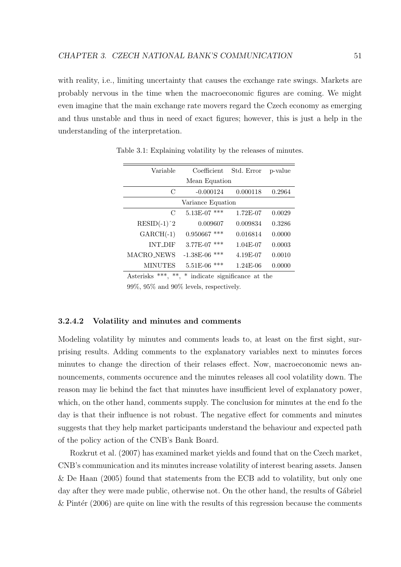with reality, i.e., limiting uncertainty that causes the exchange rate swings. Markets are probably nervous in the time when the macroeconomic figures are coming. We might even imagine that the main exchange rate movers regard the Czech economy as emerging and thus unstable and thus in need of exact figures; however, this is just a help in the understanding of the interpretation.

| Variable          | Coefficient        | Std. Error | p-value |  |  |
|-------------------|--------------------|------------|---------|--|--|
| Mean Equation     |                    |            |         |  |  |
| $\mathcal{C}$     | $-0.000124$        | 0.000118   | 0.2964  |  |  |
| Variance Equation |                    |            |         |  |  |
| $\mathcal{C}$     | 5.13E-07<br>***    | 1.72E-07   | 0.0029  |  |  |
| $RESID(-1)^2$     | 0.009607           | 0.009834   | 0.3286  |  |  |
| $GARCH(-1)$       | $0.950667$ ***     | 0.016814   | 0.0000  |  |  |
| <b>INT DIF</b>    | 3.77E-07<br>***    | $1.04E-07$ | 0.0003  |  |  |
| <b>MACRO_NEWS</b> | $-1.38E-06$<br>*** | 4.19E-07   | 0.0010  |  |  |
| <b>MINUTES</b>    | ***<br>5.51E-06    | 1.24E-06   | 0.0000  |  |  |

<span id="page-61-0"></span>Table 3.1: Explaining volatility by the releases of minutes.

Asterisks \*\*\*, \*\*, \* indicate significance at the

99%, 95% and 90% levels, respectively.

#### 3.2.4.2 Volatility and minutes and comments

Modeling volatility by minutes and comments leads to, at least on the first sight, surprising results. Adding comments to the explanatory variables next to minutes forces minutes to change the direction of their relases effect. Now, macroeconomic news announcements, comments occurence and the minutes releases all cool volatility down. The reason may lie behind the fact that minutes have insufficient level of explanatory power, which, on the other hand, comments supply. The conclusion for minutes at the end fo the day is that their influence is not robust. The negative effect for comments and minutes suggests that they help market participants understand the behaviour and expected path of the policy action of the CNB's Bank Board.

[Rozkrut et al.](#page-73-1) [\(2007\)](#page-73-1) has examined market yields and found that on the Czech market, CNB's communication and its minutes increase volatility of interest bearing assets. [Jansen](#page-71-4) [& De Haan](#page-71-4) [\(2005\)](#page-71-4) found that statements from the ECB add to volatility, but only one day after they were made public, otherwise not. On the other hand, the results of Gábriel  $\&$  Pinter [\(2006\)](#page-71-1) are quite on line with the results of this regression because the comments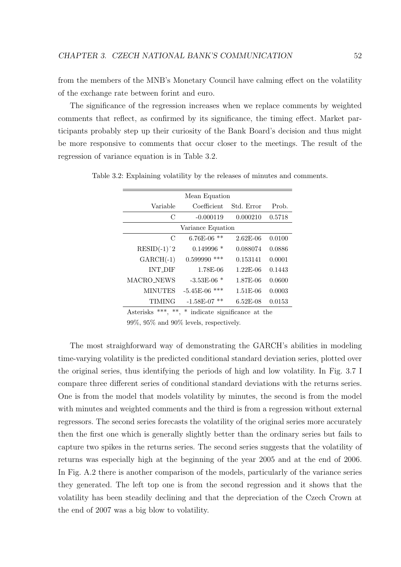from the members of the MNB's Monetary Council have calming effect on the volatility of the exchange rate between forint and euro.

The significance of the regression increases when we replace comments by weighted comments that reflect, as confirmed by its significance, the timing effect. Market participants probably step up their curiosity of the Bank Board's decision and thus might be more responsive to comments that occur closer to the meetings. The result of the regression of variance equation is in Table [3.2.](#page-62-0)

| Mean Equation     |                    |              |        |  |
|-------------------|--------------------|--------------|--------|--|
| Variable          | Coefficient        | Std. Error   | Prob.  |  |
| $\mathcal{C}$     | $-0.000119$        | 0.000210     | 0.5718 |  |
| Variance Equation |                    |              |        |  |
| $\mathcal{C}$     | $6.76E-06$<br>**   | $2.62E - 06$ | 0.0100 |  |
| $RESID(-1)^2$     | $0.149996*$        | 0.088074     | 0.0886 |  |
| $GARCH(-1)$       | 0.599990<br>***    | 0.153141     | 0.0001 |  |
| <b>INT DIF</b>    | 1.78E-06           | $1.22E-06$   | 0.1443 |  |
| MACRO NEWS        | $-3.53E-06$ *      | 1.87E-06     | 0.0600 |  |
| <b>MINUTES</b>    | $-5.45E-06$<br>*** | $1.51E-06$   | 0.0003 |  |
| TIMING            | $-1.58E-07$<br>**  | $6.52E-08$   | 0.0153 |  |
|                   |                    |              |        |  |

<span id="page-62-0"></span>Table 3.2: Explaining volatility by the releases of minutes and comments.

Asterisks \*\*\*, \*\*, \* indicate significance at the

99%, 95% and 90% levels, respectively.

The most straighforward way of demonstrating the GARCH's abilities in modeling time-varying volatility is the predicted conditional standard deviation series, plotted over the original series, thus identifying the periods of high and low volatility. In Fig. [3.7](#page-63-0) I compare three different series of conditional standard deviations with the returns series. One is from the model that models volatility by minutes, the second is from the model with minutes and weighted comments and the third is from a regression without external regressors. The second series forecasts the volatility of the original series more accurately then the first one which is generally slightly better than the ordinary series but fails to capture two spikes in the returns series. The second series suggests that the volatility of returns was especially high at the beginning of the year 2005 and at the end of 2006. In Fig. [A.2](#page-76-0) there is another comparison of the models, particularly of the variance series they generated. The left top one is from the second regression and it shows that the volatility has been steadily declining and that the depreciation of the Czech Crown at the end of 2007 was a big blow to volatility.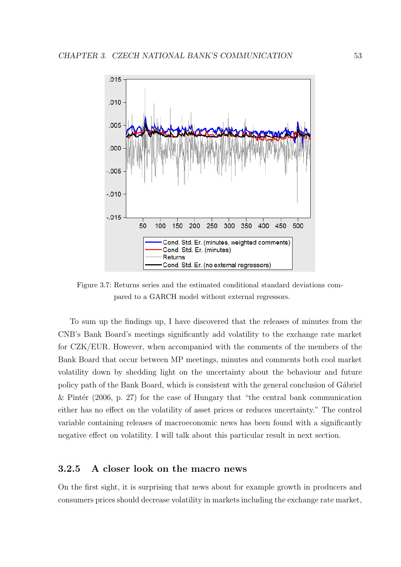<span id="page-63-0"></span>

Figure 3.7: Returns series and the estimated conditional standard deviations compared to a GARCH model without external regressors.

To sum up the findings up, I have discovered that the releases of minutes from the CNB's Bank Board's meetings significantly add volatility to the exchange rate market for CZK/EUR. However, when accompanied with the comments of the members of the Bank Board that occur between MP meetings, minutes and comments both cool market volatility down by shedding light on the uncertainty about the behaviour and future policy path of the Bank Board, which is consistent with the general conclusion of Gábriel & Pintér [\(2006,](#page-71-1) p. 27) for the case of Hungary that "the central bank communication either has no effect on the volatility of asset prices or reduces uncertainty." The control variable containing releases of macroeconomic news has been found with a significantly negative effect on volatility. I will talk about this particular result in next section.

#### 3.2.5 A closer look on the macro news

On the first sight, it is surprising that news about for example growth in producers and consumers prices should decrease volatility in markets including the exchange rate market,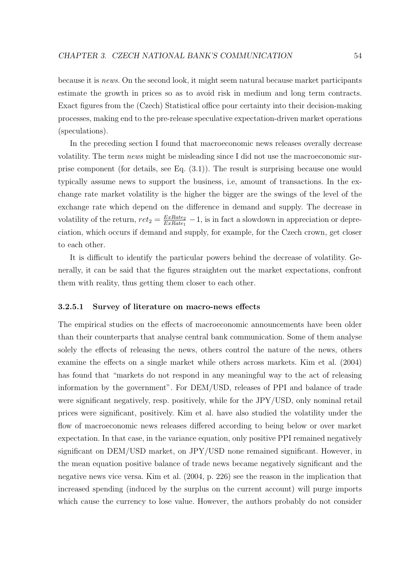because it is news. On the second look, it might seem natural because market participants estimate the growth in prices so as to avoid risk in medium and long term contracts. Exact figures from the (Czech) Statistical office pour certainty into their decision-making processes, making end to the pre-release speculative expectation-driven market operations (speculations).

In the preceding section I found that macroeconomic news releases overally decrease volatility. The term news might be misleading since I did not use the macroeconomic surprise component (for details, see Eq. [\(3.1\)](#page-55-2)). The result is surprising because one would typically assume news to support the business, i.e, amount of transactions. In the exchange rate market volatility is the higher the bigger are the swings of the level of the exchange rate which depend on the difference in demand and supply. The decrease in volatility of the return,  $ret_2 = \frac{ExRate_2}{ExRate_1}$  $\frac{ExRate_2}{ExRate_1}$  – 1, is in fact a slowdown in appreciation or depreciation, which occurs if demand and supply, for example, for the Czech crown, get closer to each other.

It is difficult to identify the particular powers behind the decrease of volatility. Generally, it can be said that the figures straighten out the market expectations, confront them with reality, thus getting them closer to each other.

#### 3.2.5.1 Survey of literature on macro-news effects

The empirical studies on the effects of macroeconomic announcements have been older than their counterparts that analyse central bank communication. Some of them analyse solely the effects of releasing the news, others control the nature of the news, others examine the effects on a single market while others across markets. [Kim et al.](#page-72-5) [\(2004\)](#page-72-5) has found that "markets do not respond in any meaningful way to the act of releasing information by the government". For DEM/USD, releases of PPI and balance of trade were significant negatively, resp. positively, while for the JPY/USD, only nominal retail prices were significant, positively. Kim et al. have also studied the volatility under the flow of macroeconomic news releases differed according to being below or over market expectation. In that case, in the variance equation, only positive PPI remained negatively significant on DEM/USD market, on JPY/USD none remained significant. However, in the mean equation positive balance of trade news became negatively significant and the negative news vice versa. [Kim et al.](#page-72-5) [\(2004,](#page-72-5) p. 226) see the reason in the implication that increased spending (induced by the surplus on the current account) will purge imports which cause the currency to lose value. However, the authors probably do not consider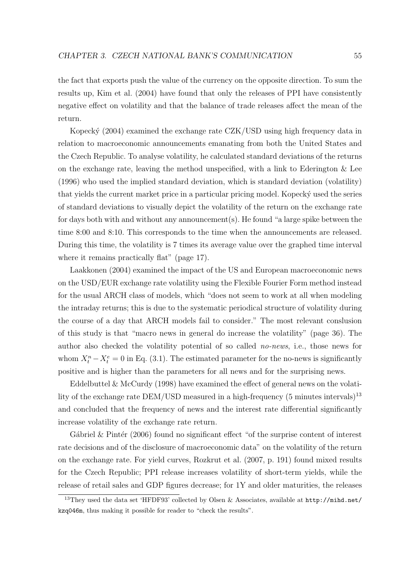the fact that exports push the value of the currency on the opposite direction. To sum the results up, [Kim et al.](#page-72-5) [\(2004\)](#page-72-5) have found that only the releases of PPI have consistently negative effect on volatility and that the balance of trade releases affect the mean of the return.

Kopecký [\(2004\)](#page-72-6) examined the exchange rate CZK/USD using high frequency data in relation to macroeconomic announcements emanating from both the United States and the Czech Republic. To analyse volatility, he calculated standard deviations of the returns on the exchange rate, leaving the method unspecified, with a link to [Ederington & Lee](#page-70-4) [\(1996\)](#page-70-4) who used the implied standard deviation, which is standard deviation (volatility) that yields the current market price in a particular pricing model. Kopecky used the series of standard deviations to visually depict the volatility of the return on the exchange rate for days both with and without any announcement(s). He found "a large spike between the time 8:00 and 8:10. This corresponds to the time when the announcements are released. During this time, the volatility is 7 times its average value over the graphed time interval where it remains practically flat" (page 17).

[Laakkonen](#page-72-7) [\(2004\)](#page-72-7) examined the impact of the US and European macroeconomic news on the USD/EUR exchange rate volatility using the Flexible Fourier Form method instead for the usual ARCH class of models, which "does not seem to work at all when modeling the intraday returns; this is due to the systematic periodical structure of volatility during the course of a day that ARCH models fail to consider." The most relevant conslusion of this study is that "macro news in general do increase the volatility" (page 36). The author also checked the volatility potential of so called no-news, i.e., those news for whom  $X_t^n - X_t^e = 0$  in Eq. [\(3.1\)](#page-55-2). The estimated parameter for the no-news is significantly positive and is higher than the parameters for all news and for the surprising news.

Eddelbuttel  $\&$  McCurdy [\(1998\)](#page-70-5) have examined the effect of general news on the volatility of the exchange rate  $\mathrm{DEM}/\mathrm{USD}$  measured in a high-frequency (5 minutes intervals)  $^{13}$  $^{13}$  $^{13}$ and concluded that the frequency of news and the interest rate differential significantly increase volatility of the exchange rate return.

Gábriel & Pintér [\(2006\)](#page-71-1) found no significant effect "of the surprise content of interest rate decisions and of the disclosure of macroeconomic data" on the volatility of the return on the exchange rate. For yield curves, [Rozkrut et al.](#page-73-1) [\(2007,](#page-73-1) p. 191) found mixed results for the Czech Republic; PPI release increases volatility of short-term yields, while the release of retail sales and GDP figures decrease; for 1Y and older maturities, the releases

<span id="page-65-0"></span><sup>13</sup>They used the data set 'HFDF93' collected by Olsen & Associates, available at [http://mihd.net/](http://mihd.net/kzq046m) [kzq046m](http://mihd.net/kzq046m), thus making it possible for reader to "check the results".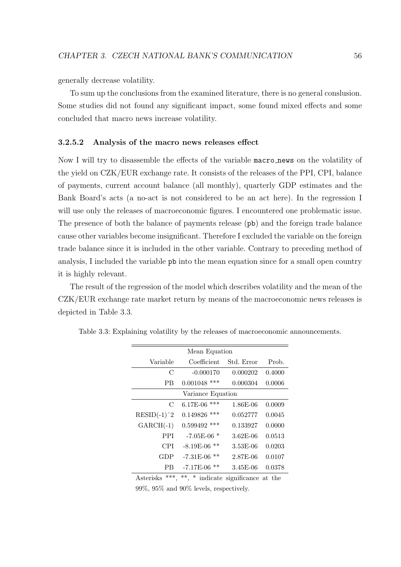generally decrease volatility.

To sum up the conclusions from the examined literature, there is no general conslusion. Some studies did not found any significant impact, some found mixed effects and some concluded that macro news increase volatility.

#### 3.2.5.2 Analysis of the macro news releases effect

Now I will try to disassemble the effects of the variable macro news on the volatility of the yield on CZK/EUR exchange rate. It consists of the releases of the PPI, CPI, balance of payments, current account balance (all monthly), quarterly GDP estimates and the Bank Board's acts (a no-act is not considered to be an act here). In the regression I will use only the releases of macroeconomic figures. I encountered one problematic issue. The presence of both the balance of payments release (pb) and the foreign trade balance cause other variables become insignificant. Therefore I excluded the variable on the foreign trade balance since it is included in the other variable. Contrary to preceding method of analysis, I included the variable pb into the mean equation since for a small open country it is highly relevant.

The result of the regression of the model which describes volatility and the mean of the CZK/EUR exchange rate market return by means of the macroeconomic news releases is depicted in Table [3.3.](#page-66-0)

| Mean Equation     |                   |            |        |  |  |
|-------------------|-------------------|------------|--------|--|--|
| Variable          | Coefficient       | Std. Error | Prob.  |  |  |
| $\mathcal{C}$     | $-0.000170$       | 0.000202   | 0.4000 |  |  |
| <b>PB</b>         | $0.001048$ ***    | 0.000304   | 0.0006 |  |  |
| Variance Equation |                   |            |        |  |  |
| $\mathcal{C}$     | 6.17E-06<br>***   | 1.86E-06   | 0.0009 |  |  |
| $RESID(-1)^2$     | 0.149826<br>***   | 0.052777   | 0.0045 |  |  |
| $GARCH(-1)$       | $0.599492$ ***    | 0.133927   | 0.0000 |  |  |
| <b>PPI</b>        | $-7.05E-06$ *     | $3.62E-06$ | 0.0513 |  |  |
| CPI               | $-8.19E-06$<br>** | 3.53E-06   | 0.0203 |  |  |
| GDP               | **<br>$-7.31E-06$ | 2.87E-06   | 0.0107 |  |  |
| РB                | **<br>$-7.17E-06$ | 3.45E-06   | 0.0378 |  |  |

<span id="page-66-0"></span>Table 3.3: Explaining volatility by the releases of macroeconomic announcements.

Asterisks \*\*\*, \*\*, \* indicate significance at the 99%, 95% and 90% levels, respectively.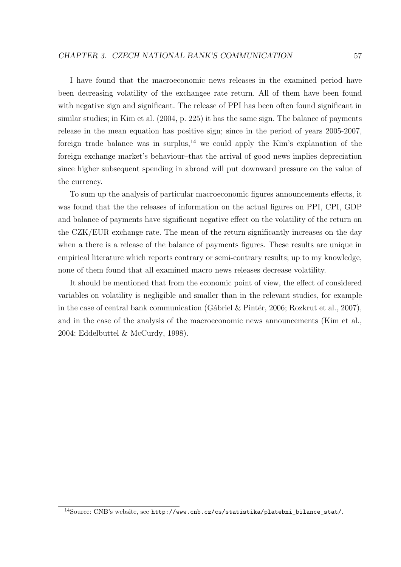I have found that the macroeconomic news releases in the examined period have been decreasing volatility of the exchangee rate return. All of them have been found with negative sign and significant. The release of PPI has been often found significant in similar studies; in [Kim et al.](#page-72-5) [\(2004,](#page-72-5) p. 225) it has the same sign. The balance of payments release in the mean equation has positive sign; since in the period of years 2005-2007, foreign trade balance was in surplus,<sup>[14](#page-67-0)</sup> we could apply the Kim's explanation of the foreign exchange market's behaviour–that the arrival of good news implies depreciation since higher subsequent spending in abroad will put downward pressure on the value of the currency.

To sum up the analysis of particular macroeconomic figures announcements effects, it was found that the the releases of information on the actual figures on PPI, CPI, GDP and balance of payments have significant negative effect on the volatility of the return on the CZK/EUR exchange rate. The mean of the return significantly increases on the day when a there is a release of the balance of payments figures. These results are unique in empirical literature which reports contrary or semi-contrary results; up to my knowledge, none of them found that all examined macro news releases decrease volatility.

It should be mentioned that from the economic point of view, the effect of considered variables on volatility is negligible and smaller than in the relevant studies, for example in the case of central bank communication (Gábriel & Pintér, [2006;](#page-71-1) [Rozkrut et al.,](#page-73-1) [2007\)](#page-73-1), and in the case of the analysis of the macroeconomic news announcements [\(Kim et al.,](#page-72-5) [2004;](#page-72-5) [Eddelbuttel & McCurdy,](#page-70-5) [1998\)](#page-70-5).

<span id="page-67-0"></span><sup>14</sup>Source: CNB's website, see [http://www.cnb.cz/cs/statistika/platebni\\_bilance\\_stat/](http://www.cnb.cz/cs/statistika/platebni_bilance_stat/).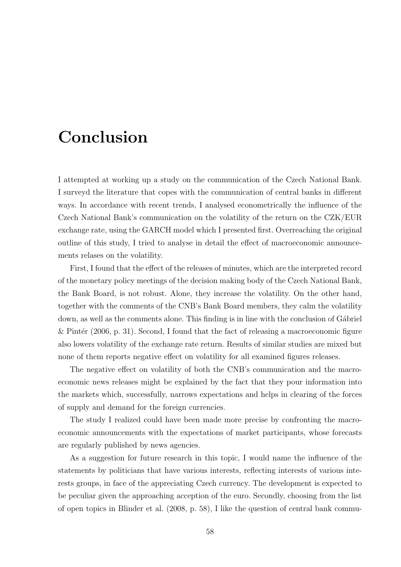# Conclusion

I attempted at working up a study on the communication of the Czech National Bank. I surveyd the literature that copes with the communication of central banks in different ways. In accordance with recent trends, I analysed econometrically the influence of the Czech National Bank's communication on the volatility of the return on the CZK/EUR exchange rate, using the GARCH model which I presented first. Overreaching the original outline of this study, I tried to analyse in detail the effect of macroeconomic announcements relases on the volatility.

First, I found that the effect of the releases of minutes, which are the interpreted record of the monetary policy meetings of the decision making body of the Czech National Bank, the Bank Board, is not robust. Alone, they increase the volatility. On the other hand, together with the comments of the CNB's Bank Board members, they calm the volatility down, as well as the comments alone. This finding is in line with the conclusion of Gábriel & Pintér [\(2006,](#page-71-1) p. 31). Second, I found that the fact of releasing a macroeconomic figure also lowers volatility of the exchange rate return. Results of similar studies are mixed but none of them reports negative effect on volatility for all examined figures releases.

The negative effect on volatility of both the CNB's communication and the macroeconomic news releases might be explained by the fact that they pour information into the markets which, successfully, narrows expectations and helps in clearing of the forces of supply and demand for the foreign currencies.

The study I realized could have been made more precise by confronting the macroeconomic announcements with the expectations of market participants, whose forecasts are regularly published by news agencies.

As a suggestion for future research in this topic, I would name the influence of the statements by politicians that have various interests, reflecting interests of various interests groups, in face of the appreciating Czech currency. The development is expected to be peculiar given the approaching acception of the euro. Secondly, choosing from the list of open topics in [Blinder et al.](#page-70-2) [\(2008,](#page-70-2) p. 58), I like the question of central bank commu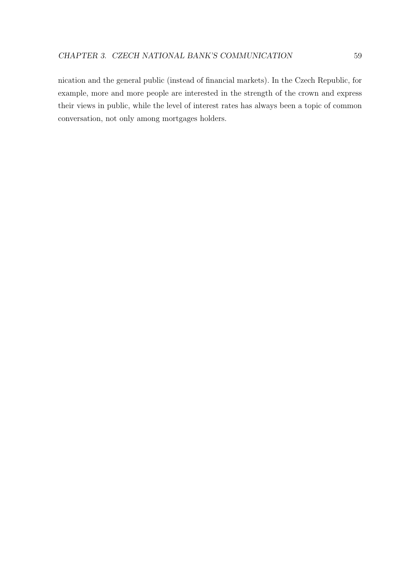nication and the general public (instead of financial markets). In the Czech Republic, for example, more and more people are interested in the strength of the crown and express their views in public, while the level of interest rates has always been a topic of common conversation, not only among mortgages holders.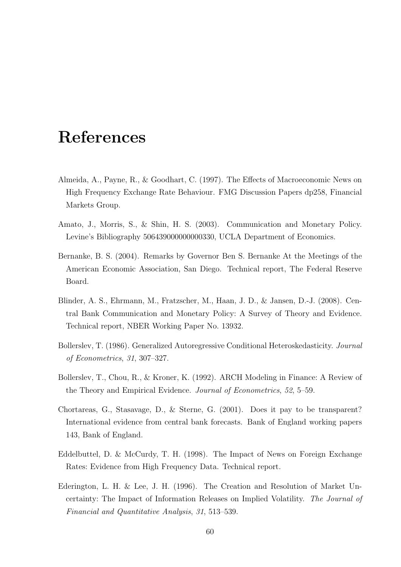### References

- <span id="page-70-3"></span>Almeida, A., Payne, R., & Goodhart, C. (1997). The Effects of Macroeconomic News on High Frequency Exchange Rate Behaviour. FMG Discussion Papers dp258, Financial Markets Group.
- <span id="page-70-1"></span>Amato, J., Morris, S., & Shin, H. S. (2003). Communication and Monetary Policy. Levine's Bibliography 506439000000000330, UCLA Department of Economics.
- Bernanke, B. S. (2004). Remarks by Governor Ben S. Bernanke At the Meetings of the American Economic Association, San Diego. Technical report, The Federal Reserve Board.
- <span id="page-70-2"></span>Blinder, A. S., Ehrmann, M., Fratzscher, M., Haan, J. D., & Jansen, D.-J. (2008). Central Bank Communication and Monetary Policy: A Survey of Theory and Evidence. Technical report, NBER Working Paper No. 13932.
- Bollerslev, T. (1986). Generalized Autoregressive Conditional Heteroskedasticity. Journal of Econometrics, 31, 307–327.
- Bollerslev, T., Chou, R., & Kroner, K. (1992). ARCH Modeling in Finance: A Review of the Theory and Empirical Evidence. Journal of Econometrics, 52, 5–59.
- <span id="page-70-0"></span>Chortareas, G., Stasavage, D., & Sterne, G. (2001). Does it pay to be transparent? International evidence from central bank forecasts. Bank of England working papers 143, Bank of England.
- <span id="page-70-5"></span>Eddelbuttel, D. & McCurdy, T. H. (1998). The Impact of News on Foreign Exchange Rates: Evidence from High Frequency Data. Technical report.
- <span id="page-70-4"></span>Ederington, L. H. & Lee, J. H. (1996). The Creation and Resolution of Market Uncertainty: The Impact of Information Releases on Implied Volatility. The Journal of Financial and Quantitative Analysis, 31, 513–539.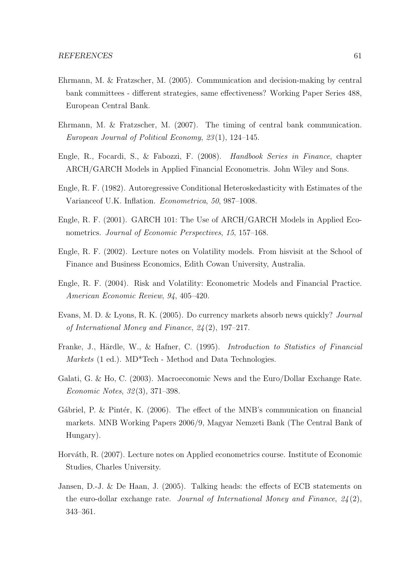- <span id="page-71-2"></span>Ehrmann, M. & Fratzscher, M. (2005). Communication and decision-making by central bank committees - different strategies, same effectiveness? Working Paper Series 488, European Central Bank.
- <span id="page-71-0"></span>Ehrmann, M. & Fratzscher, M. (2007). The timing of central bank communication. European Journal of Political Economy, 23 (1), 124–145.
- Engle, R., Focardi, S., & Fabozzi, F. (2008). Handbook Series in Finance, chapter ARCH/GARCH Models in Applied Financial Econometris. John Wiley and Sons.
- Engle, R. F. (1982). Autoregressive Conditional Heteroskedasticity with Estimates of the Varianceof U.K. Inflation. Econometrica, 50, 987–1008.
- Engle, R. F. (2001). GARCH 101: The Use of ARCH/GARCH Models in Applied Econometrics. Journal of Economic Perspectives, 15, 157–168.
- Engle, R. F. (2002). Lecture notes on Volatility models. From hisvisit at the School of Finance and Business Economics, Edith Cowan University, Australia.
- Engle, R. F. (2004). Risk and Volatility: Econometric Models and Financial Practice. American Economic Review, 94, 405–420.
- <span id="page-71-5"></span>Evans, M. D. & Lyons, R. K. (2005). Do currency markets absorb news quickly? Journal of International Money and Finance, 24 (2), 197–217.
- Franke, J., Härdle, W., & Hafner, C. (1995). *Introduction to Statistics of Financial* Markets (1 ed.). MD<sup>\*</sup>Tech - Method and Data Technologies.
- <span id="page-71-3"></span>Galati, G. & Ho, C. (2003). Macroeconomic News and the Euro/Dollar Exchange Rate. Economic Notes, 32 (3), 371–398.
- <span id="page-71-1"></span>Gábriel, P. & Pintér, K.  $(2006)$ . The effect of the MNB's communication on financial markets. MNB Working Papers 2006/9, Magyar Nemzeti Bank (The Central Bank of Hungary).
- Horváth, R. (2007). Lecture notes on Applied econometrics course. Institute of Economic Studies, Charles University.
- <span id="page-71-4"></span>Jansen, D.-J. & De Haan, J. (2005). Talking heads: the effects of ECB statements on the euro-dollar exchange rate. Journal of International Money and Finance,  $24(2)$ , 343–361.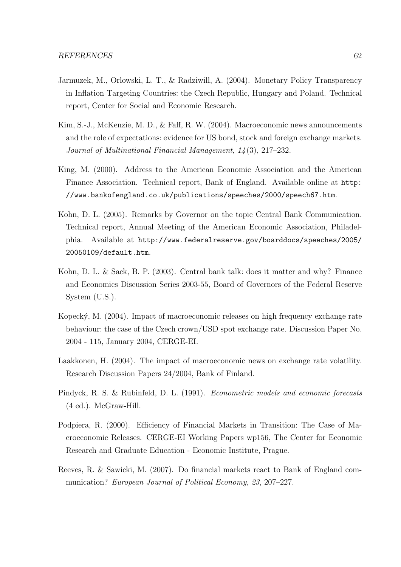- Jarmuzek, M., Orlowski, L. T., & Radziwill, A. (2004). Monetary Policy Transparency in Inflation Targeting Countries: the Czech Republic, Hungary and Poland. Technical report, Center for Social and Economic Research.
- Kim, S.-J., McKenzie, M. D., & Faff, R. W. (2004). Macroeconomic news announcements and the role of expectations: evidence for US bond, stock and foreign exchange markets. Journal of Multinational Financial Management, 14 (3), 217–232.
- King, M. (2000). Address to the American Economic Association and the American Finance Association. Technical report, Bank of England. Available online at [http:](http://www.bankofengland.co.uk/publications/speeches/2000/speech67.htm) [//www.bankofengland.co.uk/publications/speeches/2000/speech67.htm](http://www.bankofengland.co.uk/publications/speeches/2000/speech67.htm).
- Kohn, D. L. (2005). Remarks by Governor on the topic Central Bank Communication. Technical report, Annual Meeting of the American Economic Association, Philadelphia. Available at [http://www.federalreserve.gov/boarddocs/speeches/2005/](http://www.federalreserve.gov/boarddocs/speeches/2005/20050109/default.htm) [20050109/default.htm](http://www.federalreserve.gov/boarddocs/speeches/2005/20050109/default.htm).
- Kohn, D. L. & Sack, B. P. (2003). Central bank talk: does it matter and why? Finance and Economics Discussion Series 2003-55, Board of Governors of the Federal Reserve System (U.S.).
- Kopecký, M. (2004). Impact of macroeconomic releases on high frequency exchange rate behaviour: the case of the Czech crown/USD spot exchange rate. Discussion Paper No. 2004 - 115, January 2004, CERGE-EI.
- Laakkonen, H. (2004). The impact of macroeconomic news on exchange rate volatility. Research Discussion Papers 24/2004, Bank of Finland.
- Pindyck, R. S. & Rubinfeld, D. L. (1991). Econometric models and economic forecasts (4 ed.). McGraw-Hill.
- Podpiera, R. (2000). Efficiency of Financial Markets in Transition: The Case of Macroeconomic Releases. CERGE-EI Working Papers wp156, The Center for Economic Research and Graduate Education - Economic Institute, Prague.
- Reeves, R. & Sawicki, M. (2007). Do financial markets react to Bank of England communication? European Journal of Political Economy, 23, 207–227.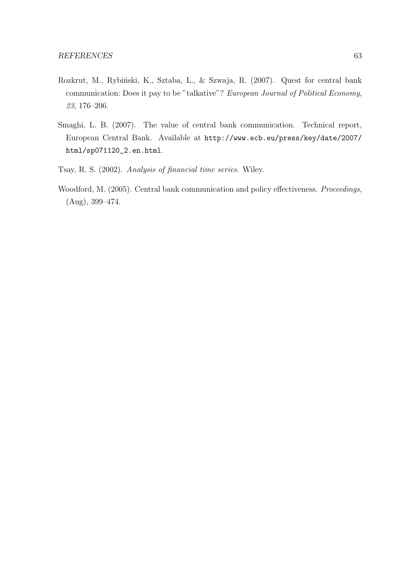- Rozkrut, M., Rybiński, K., Sztaba, L., & Szwaja, R. (2007). Quest for central bank communication: Does it pay to be "talkative"? European Journal of Political Economy, 23, 176–206.
- Smaghi, L. B. (2007). The value of central bank communication. Technical report, European Central Bank. Available at [http://www.ecb.eu/press/key/date/2007/](http://www.ecb.eu/press/key/date/2007/html/sp071120_2.en.html) [html/sp071120\\_2.en.html](http://www.ecb.eu/press/key/date/2007/html/sp071120_2.en.html).
- Tsay, R. S. (2002). Analysis of financial time series. Wiley.
- Woodford, M. (2005). Central bank communication and policy effectiveness. Proceedings, (Aug), 399–474.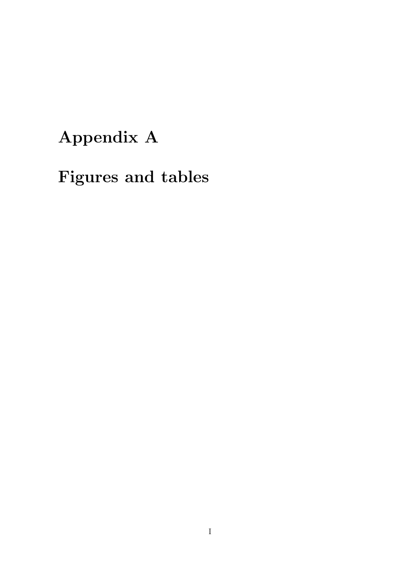## Appendix A

## Figures and tables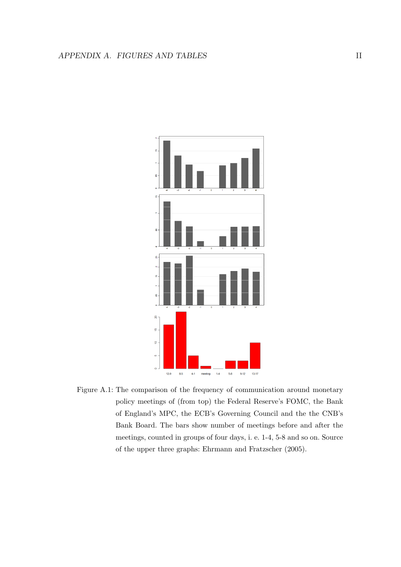

Figure A.1: The comparison of the frequency of communication around monetary policy meetings of (from top) the Federal Reserve's FOMC, the Bank of England's MPC, the ECB's Governing Council and the the CNB's Bank Board. The bars show number of meetings before and after the meetings, counted in groups of four days, i. e. 1-4, 5-8 and so on. Source of the upper three graphs: Ehrmann and Fratzscher (2005).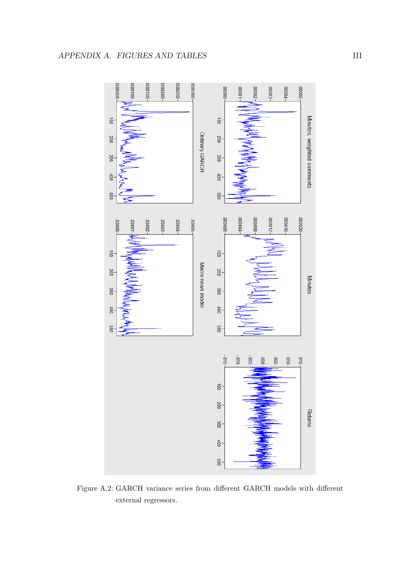

Figure A.2: GARCH variance series from different GARCH models with different external regressors.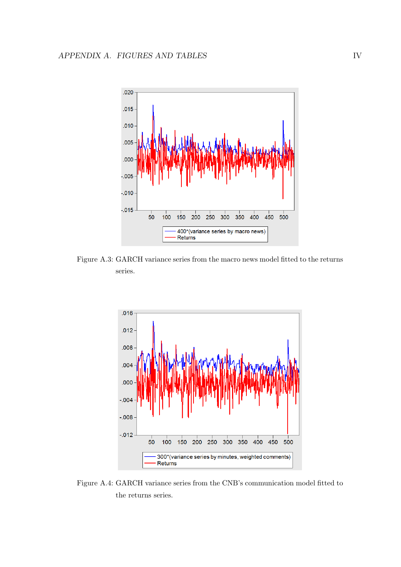

Figure A.3: GARCH variance series from the macro news model fitted to the returns series.



Figure A.4: GARCH variance series from the CNB's communication model fitted to the returns series.